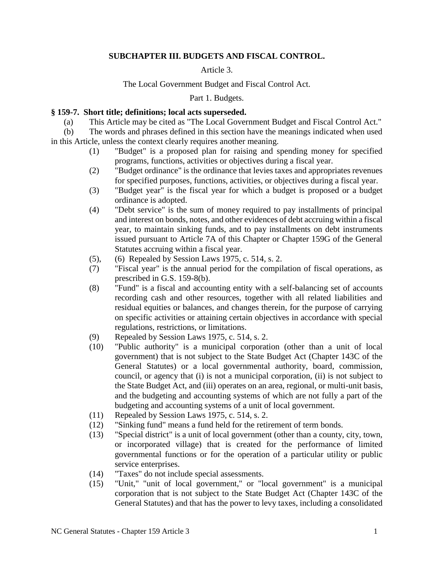# **SUBCHAPTER III. BUDGETS AND FISCAL CONTROL.**

### Article 3.

### The Local Government Budget and Fiscal Control Act.

Part 1. Budgets.

#### **§ 159-7. Short title; definitions; local acts superseded.**

(a) This Article may be cited as "The Local Government Budget and Fiscal Control Act."

(b) The words and phrases defined in this section have the meanings indicated when used in this Article, unless the context clearly requires another meaning.

- (1) "Budget" is a proposed plan for raising and spending money for specified programs, functions, activities or objectives during a fiscal year.
- (2) "Budget ordinance" is the ordinance that levies taxes and appropriates revenues for specified purposes, functions, activities, or objectives during a fiscal year.
- (3) "Budget year" is the fiscal year for which a budget is proposed or a budget ordinance is adopted.
- (4) "Debt service" is the sum of money required to pay installments of principal and interest on bonds, notes, and other evidences of debt accruing within a fiscal year, to maintain sinking funds, and to pay installments on debt instruments issued pursuant to Article 7A of this Chapter or Chapter 159G of the General Statutes accruing within a fiscal year.
- (5), (6) Repealed by Session Laws 1975, c. 514, s. 2.
- (7) "Fiscal year" is the annual period for the compilation of fiscal operations, as prescribed in G.S. 159-8(b).
- (8) "Fund" is a fiscal and accounting entity with a self-balancing set of accounts recording cash and other resources, together with all related liabilities and residual equities or balances, and changes therein, for the purpose of carrying on specific activities or attaining certain objectives in accordance with special regulations, restrictions, or limitations.
- (9) Repealed by Session Laws 1975, c. 514, s. 2.
- (10) "Public authority" is a municipal corporation (other than a unit of local government) that is not subject to the State Budget Act (Chapter 143C of the General Statutes) or a local governmental authority, board, commission, council, or agency that (i) is not a municipal corporation, (ii) is not subject to the State Budget Act, and (iii) operates on an area, regional, or multi-unit basis, and the budgeting and accounting systems of which are not fully a part of the budgeting and accounting systems of a unit of local government.
- (11) Repealed by Session Laws 1975, c. 514, s. 2.
- (12) "Sinking fund" means a fund held for the retirement of term bonds.
- (13) "Special district" is a unit of local government (other than a county, city, town, or incorporated village) that is created for the performance of limited governmental functions or for the operation of a particular utility or public service enterprises.
- (14) "Taxes" do not include special assessments.
- (15) "Unit," "unit of local government," or "local government" is a municipal corporation that is not subject to the State Budget Act (Chapter 143C of the General Statutes) and that has the power to levy taxes, including a consolidated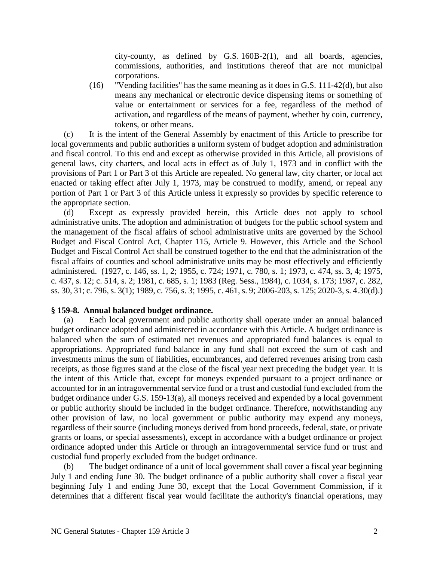city-county, as defined by G.S. 160B-2(1), and all boards, agencies, commissions, authorities, and institutions thereof that are not municipal corporations.

(16) "Vending facilities" has the same meaning as it does in G.S. 111-42(d), but also means any mechanical or electronic device dispensing items or something of value or entertainment or services for a fee, regardless of the method of activation, and regardless of the means of payment, whether by coin, currency, tokens, or other means.

(c) It is the intent of the General Assembly by enactment of this Article to prescribe for local governments and public authorities a uniform system of budget adoption and administration and fiscal control. To this end and except as otherwise provided in this Article, all provisions of general laws, city charters, and local acts in effect as of July 1, 1973 and in conflict with the provisions of Part 1 or Part 3 of this Article are repealed. No general law, city charter, or local act enacted or taking effect after July 1, 1973, may be construed to modify, amend, or repeal any portion of Part 1 or Part 3 of this Article unless it expressly so provides by specific reference to the appropriate section.

(d) Except as expressly provided herein, this Article does not apply to school administrative units. The adoption and administration of budgets for the public school system and the management of the fiscal affairs of school administrative units are governed by the School Budget and Fiscal Control Act, Chapter 115, Article 9. However, this Article and the School Budget and Fiscal Control Act shall be construed together to the end that the administration of the fiscal affairs of counties and school administrative units may be most effectively and efficiently administered. (1927, c. 146, ss. 1, 2; 1955, c. 724; 1971, c. 780, s. 1; 1973, c. 474, ss. 3, 4; 1975, c. 437, s. 12; c. 514, s. 2; 1981, c. 685, s. 1; 1983 (Reg. Sess., 1984), c. 1034, s. 173; 1987, c. 282, ss. 30, 31; c. 796, s. 3(1); 1989, c. 756, s. 3; 1995, c. 461, s. 9; 2006-203, s. 125; 2020-3, s. 4.30(d).)

#### **§ 159-8. Annual balanced budget ordinance.**

(a) Each local government and public authority shall operate under an annual balanced budget ordinance adopted and administered in accordance with this Article. A budget ordinance is balanced when the sum of estimated net revenues and appropriated fund balances is equal to appropriations. Appropriated fund balance in any fund shall not exceed the sum of cash and investments minus the sum of liabilities, encumbrances, and deferred revenues arising from cash receipts, as those figures stand at the close of the fiscal year next preceding the budget year. It is the intent of this Article that, except for moneys expended pursuant to a project ordinance or accounted for in an intragovernmental service fund or a trust and custodial fund excluded from the budget ordinance under G.S. 159-13(a), all moneys received and expended by a local government or public authority should be included in the budget ordinance. Therefore, notwithstanding any other provision of law, no local government or public authority may expend any moneys, regardless of their source (including moneys derived from bond proceeds, federal, state, or private grants or loans, or special assessments), except in accordance with a budget ordinance or project ordinance adopted under this Article or through an intragovernmental service fund or trust and custodial fund properly excluded from the budget ordinance.

(b) The budget ordinance of a unit of local government shall cover a fiscal year beginning July 1 and ending June 30. The budget ordinance of a public authority shall cover a fiscal year beginning July 1 and ending June 30, except that the Local Government Commission, if it determines that a different fiscal year would facilitate the authority's financial operations, may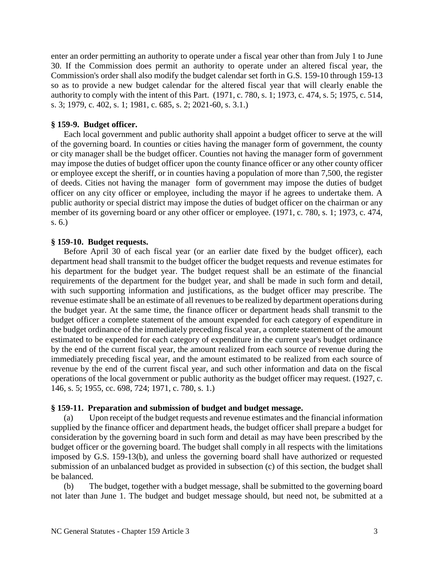enter an order permitting an authority to operate under a fiscal year other than from July 1 to June 30. If the Commission does permit an authority to operate under an altered fiscal year, the Commission's order shall also modify the budget calendar set forth in G.S. 159-10 through 159-13 so as to provide a new budget calendar for the altered fiscal year that will clearly enable the authority to comply with the intent of this Part. (1971, c. 780, s. 1; 1973, c. 474, s. 5; 1975, c. 514, s. 3; 1979, c. 402, s. 1; 1981, c. 685, s. 2; 2021-60, s. 3.1.)

### **§ 159-9. Budget officer.**

Each local government and public authority shall appoint a budget officer to serve at the will of the governing board. In counties or cities having the manager form of government, the county or city manager shall be the budget officer. Counties not having the manager form of government may impose the duties of budget officer upon the county finance officer or any other county officer or employee except the sheriff, or in counties having a population of more than 7,500, the register of deeds. Cities not having the manager form of government may impose the duties of budget officer on any city officer or employee, including the mayor if he agrees to undertake them. A public authority or special district may impose the duties of budget officer on the chairman or any member of its governing board or any other officer or employee. (1971, c. 780, s. 1; 1973, c. 474, s. 6.)

### **§ 159-10. Budget requests.**

Before April 30 of each fiscal year (or an earlier date fixed by the budget officer), each department head shall transmit to the budget officer the budget requests and revenue estimates for his department for the budget year. The budget request shall be an estimate of the financial requirements of the department for the budget year, and shall be made in such form and detail, with such supporting information and justifications, as the budget officer may prescribe. The revenue estimate shall be an estimate of all revenues to be realized by department operations during the budget year. At the same time, the finance officer or department heads shall transmit to the budget officer a complete statement of the amount expended for each category of expenditure in the budget ordinance of the immediately preceding fiscal year, a complete statement of the amount estimated to be expended for each category of expenditure in the current year's budget ordinance by the end of the current fiscal year, the amount realized from each source of revenue during the immediately preceding fiscal year, and the amount estimated to be realized from each source of revenue by the end of the current fiscal year, and such other information and data on the fiscal operations of the local government or public authority as the budget officer may request. (1927, c. 146, s. 5; 1955, cc. 698, 724; 1971, c. 780, s. 1.)

#### **§ 159-11. Preparation and submission of budget and budget message.**

(a) Upon receipt of the budget requests and revenue estimates and the financial information supplied by the finance officer and department heads, the budget officer shall prepare a budget for consideration by the governing board in such form and detail as may have been prescribed by the budget officer or the governing board. The budget shall comply in all respects with the limitations imposed by G.S. 159-13(b), and unless the governing board shall have authorized or requested submission of an unbalanced budget as provided in subsection (c) of this section, the budget shall be balanced.

(b) The budget, together with a budget message, shall be submitted to the governing board not later than June 1. The budget and budget message should, but need not, be submitted at a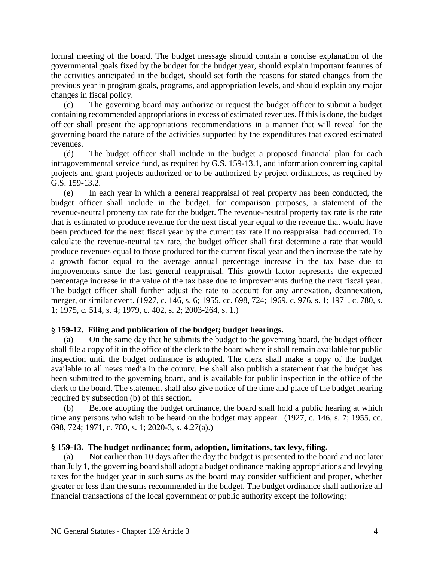formal meeting of the board. The budget message should contain a concise explanation of the governmental goals fixed by the budget for the budget year, should explain important features of the activities anticipated in the budget, should set forth the reasons for stated changes from the previous year in program goals, programs, and appropriation levels, and should explain any major changes in fiscal policy.

(c) The governing board may authorize or request the budget officer to submit a budget containing recommended appropriations in excess of estimated revenues. If this is done, the budget officer shall present the appropriations recommendations in a manner that will reveal for the governing board the nature of the activities supported by the expenditures that exceed estimated revenues.

(d) The budget officer shall include in the budget a proposed financial plan for each intragovernmental service fund, as required by G.S. 159-13.1, and information concerning capital projects and grant projects authorized or to be authorized by project ordinances, as required by G.S. 159-13.2.

(e) In each year in which a general reappraisal of real property has been conducted, the budget officer shall include in the budget, for comparison purposes, a statement of the revenue-neutral property tax rate for the budget. The revenue-neutral property tax rate is the rate that is estimated to produce revenue for the next fiscal year equal to the revenue that would have been produced for the next fiscal year by the current tax rate if no reappraisal had occurred. To calculate the revenue-neutral tax rate, the budget officer shall first determine a rate that would produce revenues equal to those produced for the current fiscal year and then increase the rate by a growth factor equal to the average annual percentage increase in the tax base due to improvements since the last general reappraisal. This growth factor represents the expected percentage increase in the value of the tax base due to improvements during the next fiscal year. The budget officer shall further adjust the rate to account for any annexation, deannexation, merger, or similar event. (1927, c. 146, s. 6; 1955, cc. 698, 724; 1969, c. 976, s. 1; 1971, c. 780, s. 1; 1975, c. 514, s. 4; 1979, c. 402, s. 2; 2003-264, s. 1.)

# **§ 159-12. Filing and publication of the budget; budget hearings.**

(a) On the same day that he submits the budget to the governing board, the budget officer shall file a copy of it in the office of the clerk to the board where it shall remain available for public inspection until the budget ordinance is adopted. The clerk shall make a copy of the budget available to all news media in the county. He shall also publish a statement that the budget has been submitted to the governing board, and is available for public inspection in the office of the clerk to the board. The statement shall also give notice of the time and place of the budget hearing required by subsection (b) of this section.

(b) Before adopting the budget ordinance, the board shall hold a public hearing at which time any persons who wish to be heard on the budget may appear. (1927, c. 146, s. 7; 1955, cc. 698, 724; 1971, c. 780, s. 1; 2020-3, s. 4.27(a).)

### **§ 159-13. The budget ordinance; form, adoption, limitations, tax levy, filing.**

(a) Not earlier than 10 days after the day the budget is presented to the board and not later than July 1, the governing board shall adopt a budget ordinance making appropriations and levying taxes for the budget year in such sums as the board may consider sufficient and proper, whether greater or less than the sums recommended in the budget. The budget ordinance shall authorize all financial transactions of the local government or public authority except the following: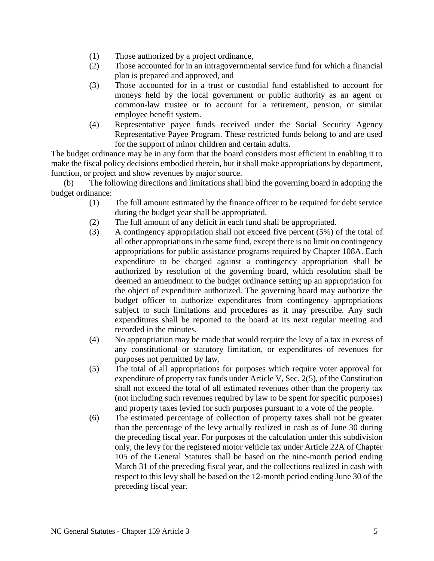- (1) Those authorized by a project ordinance,
- (2) Those accounted for in an intragovernmental service fund for which a financial plan is prepared and approved, and
- (3) Those accounted for in a trust or custodial fund established to account for moneys held by the local government or public authority as an agent or common-law trustee or to account for a retirement, pension, or similar employee benefit system.
- (4) Representative payee funds received under the Social Security Agency Representative Payee Program. These restricted funds belong to and are used for the support of minor children and certain adults.

The budget ordinance may be in any form that the board considers most efficient in enabling it to make the fiscal policy decisions embodied therein, but it shall make appropriations by department, function, or project and show revenues by major source.

(b) The following directions and limitations shall bind the governing board in adopting the budget ordinance:

- (1) The full amount estimated by the finance officer to be required for debt service during the budget year shall be appropriated.
- (2) The full amount of any deficit in each fund shall be appropriated.
- (3) A contingency appropriation shall not exceed five percent (5%) of the total of all other appropriations in the same fund, except there is no limit on contingency appropriations for public assistance programs required by Chapter 108A. Each expenditure to be charged against a contingency appropriation shall be authorized by resolution of the governing board, which resolution shall be deemed an amendment to the budget ordinance setting up an appropriation for the object of expenditure authorized. The governing board may authorize the budget officer to authorize expenditures from contingency appropriations subject to such limitations and procedures as it may prescribe. Any such expenditures shall be reported to the board at its next regular meeting and recorded in the minutes.
- (4) No appropriation may be made that would require the levy of a tax in excess of any constitutional or statutory limitation, or expenditures of revenues for purposes not permitted by law.
- (5) The total of all appropriations for purposes which require voter approval for expenditure of property tax funds under Article V, Sec. 2(5), of the Constitution shall not exceed the total of all estimated revenues other than the property tax (not including such revenues required by law to be spent for specific purposes) and property taxes levied for such purposes pursuant to a vote of the people.
- (6) The estimated percentage of collection of property taxes shall not be greater than the percentage of the levy actually realized in cash as of June 30 during the preceding fiscal year. For purposes of the calculation under this subdivision only, the levy for the registered motor vehicle tax under Article 22A of Chapter 105 of the General Statutes shall be based on the nine-month period ending March 31 of the preceding fiscal year, and the collections realized in cash with respect to this levy shall be based on the 12-month period ending June 30 of the preceding fiscal year.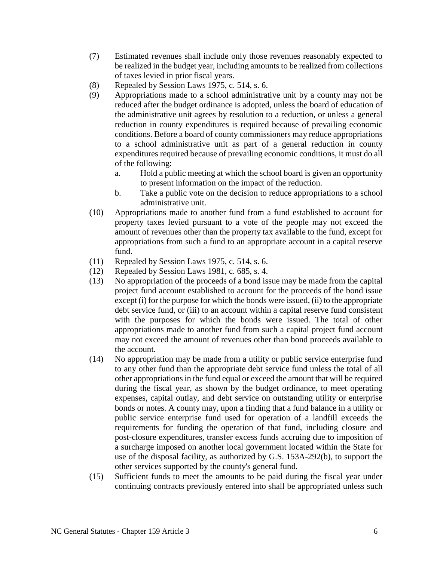- (7) Estimated revenues shall include only those revenues reasonably expected to be realized in the budget year, including amounts to be realized from collections of taxes levied in prior fiscal years.
- (8) Repealed by Session Laws 1975, c. 514, s. 6.
- (9) Appropriations made to a school administrative unit by a county may not be reduced after the budget ordinance is adopted, unless the board of education of the administrative unit agrees by resolution to a reduction, or unless a general reduction in county expenditures is required because of prevailing economic conditions. Before a board of county commissioners may reduce appropriations to a school administrative unit as part of a general reduction in county expenditures required because of prevailing economic conditions, it must do all of the following:
	- a. Hold a public meeting at which the school board is given an opportunity to present information on the impact of the reduction.
	- b. Take a public vote on the decision to reduce appropriations to a school administrative unit.
- (10) Appropriations made to another fund from a fund established to account for property taxes levied pursuant to a vote of the people may not exceed the amount of revenues other than the property tax available to the fund, except for appropriations from such a fund to an appropriate account in a capital reserve fund.
- (11) Repealed by Session Laws 1975, c. 514, s. 6.
- (12) Repealed by Session Laws 1981, c. 685, s. 4.
- (13) No appropriation of the proceeds of a bond issue may be made from the capital project fund account established to account for the proceeds of the bond issue except (i) for the purpose for which the bonds were issued, (ii) to the appropriate debt service fund, or (iii) to an account within a capital reserve fund consistent with the purposes for which the bonds were issued. The total of other appropriations made to another fund from such a capital project fund account may not exceed the amount of revenues other than bond proceeds available to the account.
- (14) No appropriation may be made from a utility or public service enterprise fund to any other fund than the appropriate debt service fund unless the total of all other appropriations in the fund equal or exceed the amount that will be required during the fiscal year, as shown by the budget ordinance, to meet operating expenses, capital outlay, and debt service on outstanding utility or enterprise bonds or notes. A county may, upon a finding that a fund balance in a utility or public service enterprise fund used for operation of a landfill exceeds the requirements for funding the operation of that fund, including closure and post-closure expenditures, transfer excess funds accruing due to imposition of a surcharge imposed on another local government located within the State for use of the disposal facility, as authorized by G.S. 153A-292(b), to support the other services supported by the county's general fund.
- (15) Sufficient funds to meet the amounts to be paid during the fiscal year under continuing contracts previously entered into shall be appropriated unless such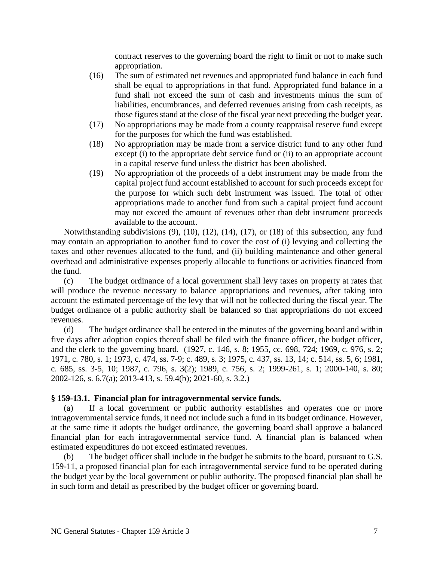contract reserves to the governing board the right to limit or not to make such appropriation.

- (16) The sum of estimated net revenues and appropriated fund balance in each fund shall be equal to appropriations in that fund. Appropriated fund balance in a fund shall not exceed the sum of cash and investments minus the sum of liabilities, encumbrances, and deferred revenues arising from cash receipts, as those figures stand at the close of the fiscal year next preceding the budget year.
- (17) No appropriations may be made from a county reappraisal reserve fund except for the purposes for which the fund was established.
- (18) No appropriation may be made from a service district fund to any other fund except (i) to the appropriate debt service fund or (ii) to an appropriate account in a capital reserve fund unless the district has been abolished.
- (19) No appropriation of the proceeds of a debt instrument may be made from the capital project fund account established to account for such proceeds except for the purpose for which such debt instrument was issued. The total of other appropriations made to another fund from such a capital project fund account may not exceed the amount of revenues other than debt instrument proceeds available to the account.

Notwithstanding subdivisions (9), (10), (12), (14), (17), or (18) of this subsection, any fund may contain an appropriation to another fund to cover the cost of (i) levying and collecting the taxes and other revenues allocated to the fund, and (ii) building maintenance and other general overhead and administrative expenses properly allocable to functions or activities financed from the fund.

(c) The budget ordinance of a local government shall levy taxes on property at rates that will produce the revenue necessary to balance appropriations and revenues, after taking into account the estimated percentage of the levy that will not be collected during the fiscal year. The budget ordinance of a public authority shall be balanced so that appropriations do not exceed revenues.

(d) The budget ordinance shall be entered in the minutes of the governing board and within five days after adoption copies thereof shall be filed with the finance officer, the budget officer, and the clerk to the governing board. (1927, c. 146, s. 8; 1955, cc. 698, 724; 1969, c. 976, s. 2; 1971, c. 780, s. 1; 1973, c. 474, ss. 7-9; c. 489, s. 3; 1975, c. 437, ss. 13, 14; c. 514, ss. 5, 6; 1981, c. 685, ss. 3-5, 10; 1987, c. 796, s. 3(2); 1989, c. 756, s. 2; 1999-261, s. 1; 2000-140, s. 80; 2002-126, s. 6.7(a); 2013-413, s. 59.4(b); 2021-60, s. 3.2.)

#### **§ 159-13.1. Financial plan for intragovernmental service funds.**

(a) If a local government or public authority establishes and operates one or more intragovernmental service funds, it need not include such a fund in its budget ordinance. However, at the same time it adopts the budget ordinance, the governing board shall approve a balanced financial plan for each intragovernmental service fund. A financial plan is balanced when estimated expenditures do not exceed estimated revenues.

(b) The budget officer shall include in the budget he submits to the board, pursuant to G.S. 159-11, a proposed financial plan for each intragovernmental service fund to be operated during the budget year by the local government or public authority. The proposed financial plan shall be in such form and detail as prescribed by the budget officer or governing board.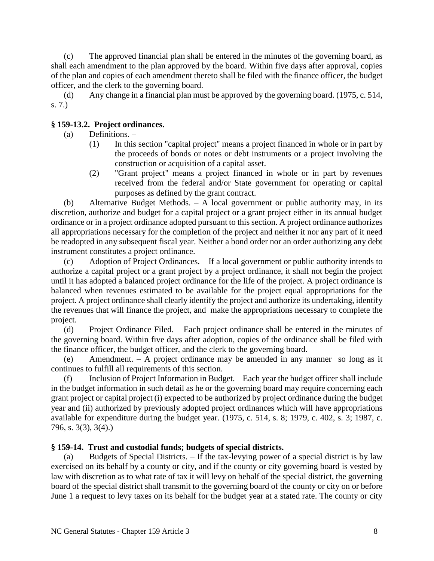(c) The approved financial plan shall be entered in the minutes of the governing board, as shall each amendment to the plan approved by the board. Within five days after approval, copies of the plan and copies of each amendment thereto shall be filed with the finance officer, the budget officer, and the clerk to the governing board.

(d) Any change in a financial plan must be approved by the governing board. (1975, c. 514, s. 7.)

# **§ 159-13.2. Project ordinances.**

- (a) Definitions.
	- (1) In this section "capital project" means a project financed in whole or in part by the proceeds of bonds or notes or debt instruments or a project involving the construction or acquisition of a capital asset.
	- (2) "Grant project" means a project financed in whole or in part by revenues received from the federal and/or State government for operating or capital purposes as defined by the grant contract.

(b) Alternative Budget Methods. – A local government or public authority may, in its discretion, authorize and budget for a capital project or a grant project either in its annual budget ordinance or in a project ordinance adopted pursuant to this section. A project ordinance authorizes all appropriations necessary for the completion of the project and neither it nor any part of it need be readopted in any subsequent fiscal year. Neither a bond order nor an order authorizing any debt instrument constitutes a project ordinance.

(c) Adoption of Project Ordinances. – If a local government or public authority intends to authorize a capital project or a grant project by a project ordinance, it shall not begin the project until it has adopted a balanced project ordinance for the life of the project. A project ordinance is balanced when revenues estimated to be available for the project equal appropriations for the project. A project ordinance shall clearly identify the project and authorize its undertaking, identify the revenues that will finance the project, and make the appropriations necessary to complete the project.

(d) Project Ordinance Filed. – Each project ordinance shall be entered in the minutes of the governing board. Within five days after adoption, copies of the ordinance shall be filed with the finance officer, the budget officer, and the clerk to the governing board.

(e) Amendment. – A project ordinance may be amended in any manner so long as it continues to fulfill all requirements of this section.

(f) Inclusion of Project Information in Budget. – Each year the budget officer shall include in the budget information in such detail as he or the governing board may require concerning each grant project or capital project (i) expected to be authorized by project ordinance during the budget year and (ii) authorized by previously adopted project ordinances which will have appropriations available for expenditure during the budget year. (1975, c. 514, s. 8; 1979, c. 402, s. 3; 1987, c. 796, s. 3(3), 3(4).)

# **§ 159-14. Trust and custodial funds; budgets of special districts.**

(a) Budgets of Special Districts. – If the tax-levying power of a special district is by law exercised on its behalf by a county or city, and if the county or city governing board is vested by law with discretion as to what rate of tax it will levy on behalf of the special district, the governing board of the special district shall transmit to the governing board of the county or city on or before June 1 a request to levy taxes on its behalf for the budget year at a stated rate. The county or city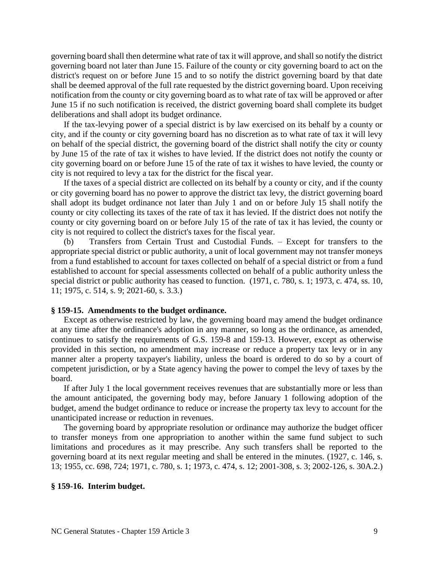governing board shall then determine what rate of tax it will approve, and shall so notify the district governing board not later than June 15. Failure of the county or city governing board to act on the district's request on or before June 15 and to so notify the district governing board by that date shall be deemed approval of the full rate requested by the district governing board. Upon receiving notification from the county or city governing board as to what rate of tax will be approved or after June 15 if no such notification is received, the district governing board shall complete its budget deliberations and shall adopt its budget ordinance.

If the tax-levying power of a special district is by law exercised on its behalf by a county or city, and if the county or city governing board has no discretion as to what rate of tax it will levy on behalf of the special district, the governing board of the district shall notify the city or county by June 15 of the rate of tax it wishes to have levied. If the district does not notify the county or city governing board on or before June 15 of the rate of tax it wishes to have levied, the county or city is not required to levy a tax for the district for the fiscal year.

If the taxes of a special district are collected on its behalf by a county or city, and if the county or city governing board has no power to approve the district tax levy, the district governing board shall adopt its budget ordinance not later than July 1 and on or before July 15 shall notify the county or city collecting its taxes of the rate of tax it has levied. If the district does not notify the county or city governing board on or before July 15 of the rate of tax it has levied, the county or city is not required to collect the district's taxes for the fiscal year.

(b) Transfers from Certain Trust and Custodial Funds. – Except for transfers to the appropriate special district or public authority, a unit of local government may not transfer moneys from a fund established to account for taxes collected on behalf of a special district or from a fund established to account for special assessments collected on behalf of a public authority unless the special district or public authority has ceased to function. (1971, c. 780, s. 1; 1973, c. 474, ss. 10, 11; 1975, c. 514, s. 9; 2021-60, s. 3.3.)

#### **§ 159-15. Amendments to the budget ordinance.**

Except as otherwise restricted by law, the governing board may amend the budget ordinance at any time after the ordinance's adoption in any manner, so long as the ordinance, as amended, continues to satisfy the requirements of G.S. 159-8 and 159-13. However, except as otherwise provided in this section, no amendment may increase or reduce a property tax levy or in any manner alter a property taxpayer's liability, unless the board is ordered to do so by a court of competent jurisdiction, or by a State agency having the power to compel the levy of taxes by the board.

If after July 1 the local government receives revenues that are substantially more or less than the amount anticipated, the governing body may, before January 1 following adoption of the budget, amend the budget ordinance to reduce or increase the property tax levy to account for the unanticipated increase or reduction in revenues.

The governing board by appropriate resolution or ordinance may authorize the budget officer to transfer moneys from one appropriation to another within the same fund subject to such limitations and procedures as it may prescribe. Any such transfers shall be reported to the governing board at its next regular meeting and shall be entered in the minutes. (1927, c. 146, s. 13; 1955, cc. 698, 724; 1971, c. 780, s. 1; 1973, c. 474, s. 12; 2001-308, s. 3; 2002-126, s. 30A.2.)

#### **§ 159-16. Interim budget.**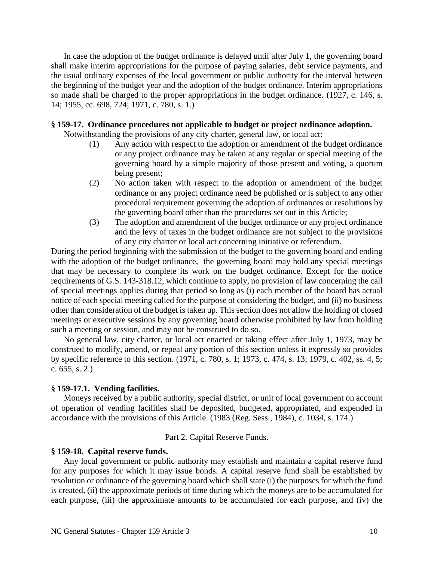In case the adoption of the budget ordinance is delayed until after July 1, the governing board shall make interim appropriations for the purpose of paying salaries, debt service payments, and the usual ordinary expenses of the local government or public authority for the interval between the beginning of the budget year and the adoption of the budget ordinance. Interim appropriations so made shall be charged to the proper appropriations in the budget ordinance. (1927, c. 146, s. 14; 1955, cc. 698, 724; 1971, c. 780, s. 1.)

### **§ 159-17. Ordinance procedures not applicable to budget or project ordinance adoption.**

Notwithstanding the provisions of any city charter, general law, or local act:

- (1) Any action with respect to the adoption or amendment of the budget ordinance or any project ordinance may be taken at any regular or special meeting of the governing board by a simple majority of those present and voting, a quorum being present;
- (2) No action taken with respect to the adoption or amendment of the budget ordinance or any project ordinance need be published or is subject to any other procedural requirement governing the adoption of ordinances or resolutions by the governing board other than the procedures set out in this Article;
- (3) The adoption and amendment of the budget ordinance or any project ordinance and the levy of taxes in the budget ordinance are not subject to the provisions of any city charter or local act concerning initiative or referendum.

During the period beginning with the submission of the budget to the governing board and ending with the adoption of the budget ordinance, the governing board may hold any special meetings that may be necessary to complete its work on the budget ordinance. Except for the notice requirements of G.S. 143-318.12, which continue to apply, no provision of law concerning the call of special meetings applies during that period so long as (i) each member of the board has actual notice of each special meeting called for the purpose of considering the budget, and (ii) no business other than consideration of the budget is taken up. This section does not allow the holding of closed meetings or executive sessions by any governing board otherwise prohibited by law from holding such a meeting or session, and may not be construed to do so.

No general law, city charter, or local act enacted or taking effect after July 1, 1973, may be construed to modify, amend, or repeal any portion of this section unless it expressly so provides by specific reference to this section. (1971, c. 780, s. 1; 1973, c. 474, s. 13; 1979, c. 402, ss. 4, 5; c. 655, s. 2.)

### **§ 159-17.1. Vending facilities.**

Moneys received by a public authority, special district, or unit of local government on account of operation of vending facilities shall be deposited, budgeted, appropriated, and expended in accordance with the provisions of this Article. (1983 (Reg. Sess., 1984), c. 1034, s. 174.)

Part 2. Capital Reserve Funds.

#### **§ 159-18. Capital reserve funds.**

Any local government or public authority may establish and maintain a capital reserve fund for any purposes for which it may issue bonds. A capital reserve fund shall be established by resolution or ordinance of the governing board which shall state (i) the purposes for which the fund is created, (ii) the approximate periods of time during which the moneys are to be accumulated for each purpose, (iii) the approximate amounts to be accumulated for each purpose, and (iv) the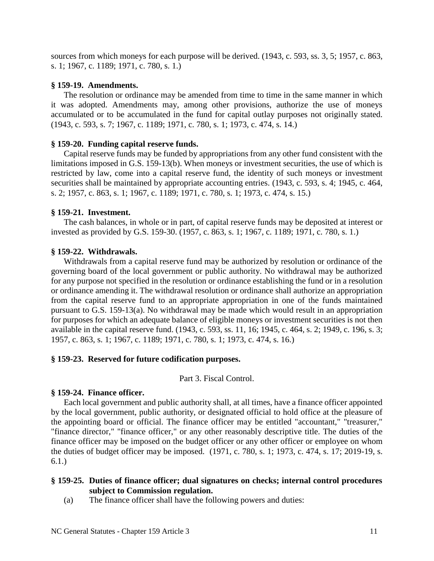sources from which moneys for each purpose will be derived. (1943, c. 593, ss. 3, 5; 1957, c. 863, s. 1; 1967, c. 1189; 1971, c. 780, s. 1.)

# **§ 159-19. Amendments.**

The resolution or ordinance may be amended from time to time in the same manner in which it was adopted. Amendments may, among other provisions, authorize the use of moneys accumulated or to be accumulated in the fund for capital outlay purposes not originally stated. (1943, c. 593, s. 7; 1967, c. 1189; 1971, c. 780, s. 1; 1973, c. 474, s. 14.)

# **§ 159-20. Funding capital reserve funds.**

Capital reserve funds may be funded by appropriations from any other fund consistent with the limitations imposed in G.S. 159-13(b). When moneys or investment securities, the use of which is restricted by law, come into a capital reserve fund, the identity of such moneys or investment securities shall be maintained by appropriate accounting entries. (1943, c. 593, s. 4; 1945, c. 464, s. 2; 1957, c. 863, s. 1; 1967, c. 1189; 1971, c. 780, s. 1; 1973, c. 474, s. 15.)

# **§ 159-21. Investment.**

The cash balances, in whole or in part, of capital reserve funds may be deposited at interest or invested as provided by G.S. 159-30. (1957, c. 863, s. 1; 1967, c. 1189; 1971, c. 780, s. 1.)

# **§ 159-22. Withdrawals.**

Withdrawals from a capital reserve fund may be authorized by resolution or ordinance of the governing board of the local government or public authority. No withdrawal may be authorized for any purpose not specified in the resolution or ordinance establishing the fund or in a resolution or ordinance amending it. The withdrawal resolution or ordinance shall authorize an appropriation from the capital reserve fund to an appropriate appropriation in one of the funds maintained pursuant to G.S. 159-13(a). No withdrawal may be made which would result in an appropriation for purposes for which an adequate balance of eligible moneys or investment securities is not then available in the capital reserve fund. (1943, c. 593, ss. 11, 16; 1945, c. 464, s. 2; 1949, c. 196, s. 3; 1957, c. 863, s. 1; 1967, c. 1189; 1971, c. 780, s. 1; 1973, c. 474, s. 16.)

# **§ 159-23. Reserved for future codification purposes.**

Part 3. Fiscal Control.

### **§ 159-24. Finance officer.**

Each local government and public authority shall, at all times, have a finance officer appointed by the local government, public authority, or designated official to hold office at the pleasure of the appointing board or official. The finance officer may be entitled "accountant," "treasurer," "finance director," "finance officer," or any other reasonably descriptive title. The duties of the finance officer may be imposed on the budget officer or any other officer or employee on whom the duties of budget officer may be imposed. (1971, c. 780, s. 1; 1973, c. 474, s. 17; 2019-19, s. 6.1.)

# **§ 159-25. Duties of finance officer; dual signatures on checks; internal control procedures subject to Commission regulation.**

(a) The finance officer shall have the following powers and duties: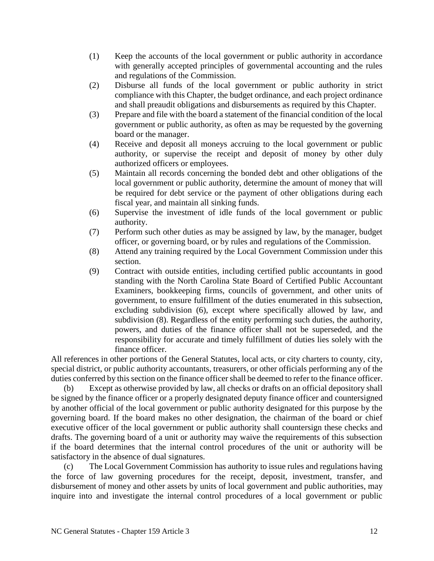- (1) Keep the accounts of the local government or public authority in accordance with generally accepted principles of governmental accounting and the rules and regulations of the Commission.
- (2) Disburse all funds of the local government or public authority in strict compliance with this Chapter, the budget ordinance, and each project ordinance and shall preaudit obligations and disbursements as required by this Chapter.
- (3) Prepare and file with the board a statement of the financial condition of the local government or public authority, as often as may be requested by the governing board or the manager.
- (4) Receive and deposit all moneys accruing to the local government or public authority, or supervise the receipt and deposit of money by other duly authorized officers or employees.
- (5) Maintain all records concerning the bonded debt and other obligations of the local government or public authority, determine the amount of money that will be required for debt service or the payment of other obligations during each fiscal year, and maintain all sinking funds.
- (6) Supervise the investment of idle funds of the local government or public authority.
- (7) Perform such other duties as may be assigned by law, by the manager, budget officer, or governing board, or by rules and regulations of the Commission.
- (8) Attend any training required by the Local Government Commission under this section.
- (9) Contract with outside entities, including certified public accountants in good standing with the North Carolina State Board of Certified Public Accountant Examiners, bookkeeping firms, councils of government, and other units of government, to ensure fulfillment of the duties enumerated in this subsection, excluding subdivision (6), except where specifically allowed by law, and subdivision (8). Regardless of the entity performing such duties, the authority, powers, and duties of the finance officer shall not be superseded, and the responsibility for accurate and timely fulfillment of duties lies solely with the finance officer.

All references in other portions of the General Statutes, local acts, or city charters to county, city, special district, or public authority accountants, treasurers, or other officials performing any of the duties conferred by this section on the finance officer shall be deemed to refer to the finance officer.

(b) Except as otherwise provided by law, all checks or drafts on an official depository shall be signed by the finance officer or a properly designated deputy finance officer and countersigned by another official of the local government or public authority designated for this purpose by the governing board. If the board makes no other designation, the chairman of the board or chief executive officer of the local government or public authority shall countersign these checks and drafts. The governing board of a unit or authority may waive the requirements of this subsection if the board determines that the internal control procedures of the unit or authority will be satisfactory in the absence of dual signatures.

(c) The Local Government Commission has authority to issue rules and regulations having the force of law governing procedures for the receipt, deposit, investment, transfer, and disbursement of money and other assets by units of local government and public authorities, may inquire into and investigate the internal control procedures of a local government or public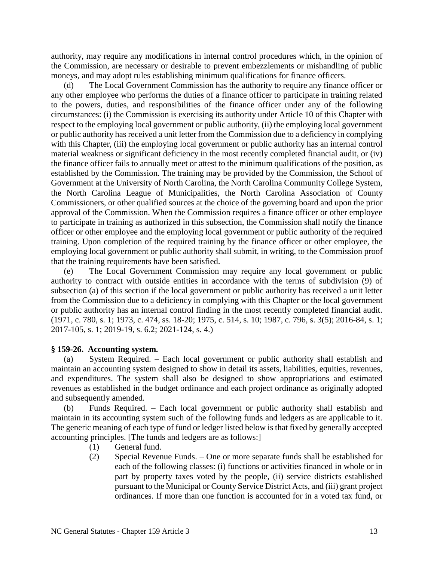authority, may require any modifications in internal control procedures which, in the opinion of the Commission, are necessary or desirable to prevent embezzlements or mishandling of public moneys, and may adopt rules establishing minimum qualifications for finance officers.

(d) The Local Government Commission has the authority to require any finance officer or any other employee who performs the duties of a finance officer to participate in training related to the powers, duties, and responsibilities of the finance officer under any of the following circumstances: (i) the Commission is exercising its authority under Article 10 of this Chapter with respect to the employing local government or public authority, (ii) the employing local government or public authority has received a unit letter from the Commission due to a deficiency in complying with this Chapter, (iii) the employing local government or public authority has an internal control material weakness or significant deficiency in the most recently completed financial audit, or (iv) the finance officer fails to annually meet or attest to the minimum qualifications of the position, as established by the Commission. The training may be provided by the Commission, the School of Government at the University of North Carolina, the North Carolina Community College System, the North Carolina League of Municipalities, the North Carolina Association of County Commissioners, or other qualified sources at the choice of the governing board and upon the prior approval of the Commission. When the Commission requires a finance officer or other employee to participate in training as authorized in this subsection, the Commission shall notify the finance officer or other employee and the employing local government or public authority of the required training. Upon completion of the required training by the finance officer or other employee, the employing local government or public authority shall submit, in writing, to the Commission proof that the training requirements have been satisfied.

(e) The Local Government Commission may require any local government or public authority to contract with outside entities in accordance with the terms of subdivision (9) of subsection (a) of this section if the local government or public authority has received a unit letter from the Commission due to a deficiency in complying with this Chapter or the local government or public authority has an internal control finding in the most recently completed financial audit. (1971, c. 780, s. 1; 1973, c. 474, ss. 18-20; 1975, c. 514, s. 10; 1987, c. 796, s. 3(5); 2016-84, s. 1; 2017-105, s. 1; 2019-19, s. 6.2; 2021-124, s. 4.)

#### **§ 159-26. Accounting system.**

(a) System Required. – Each local government or public authority shall establish and maintain an accounting system designed to show in detail its assets, liabilities, equities, revenues, and expenditures. The system shall also be designed to show appropriations and estimated revenues as established in the budget ordinance and each project ordinance as originally adopted and subsequently amended.

(b) Funds Required. – Each local government or public authority shall establish and maintain in its accounting system such of the following funds and ledgers as are applicable to it. The generic meaning of each type of fund or ledger listed below is that fixed by generally accepted accounting principles. [The funds and ledgers are as follows:]

- (1) General fund.
- (2) Special Revenue Funds. One or more separate funds shall be established for each of the following classes: (i) functions or activities financed in whole or in part by property taxes voted by the people, (ii) service districts established pursuant to the Municipal or County Service District Acts, and (iii) grant project ordinances. If more than one function is accounted for in a voted tax fund, or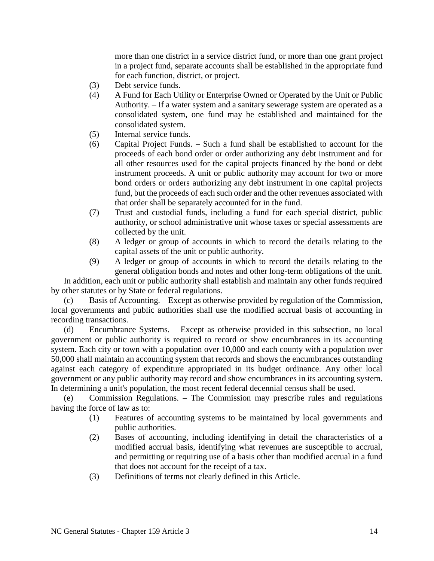more than one district in a service district fund, or more than one grant project in a project fund, separate accounts shall be established in the appropriate fund for each function, district, or project.

- (3) Debt service funds.
- (4) A Fund for Each Utility or Enterprise Owned or Operated by the Unit or Public Authority. – If a water system and a sanitary sewerage system are operated as a consolidated system, one fund may be established and maintained for the consolidated system.
- (5) Internal service funds.
- (6) Capital Project Funds. Such a fund shall be established to account for the proceeds of each bond order or order authorizing any debt instrument and for all other resources used for the capital projects financed by the bond or debt instrument proceeds. A unit or public authority may account for two or more bond orders or orders authorizing any debt instrument in one capital projects fund, but the proceeds of each such order and the other revenues associated with that order shall be separately accounted for in the fund.
- (7) Trust and custodial funds, including a fund for each special district, public authority, or school administrative unit whose taxes or special assessments are collected by the unit.
- (8) A ledger or group of accounts in which to record the details relating to the capital assets of the unit or public authority.
- (9) A ledger or group of accounts in which to record the details relating to the general obligation bonds and notes and other long-term obligations of the unit.

In addition, each unit or public authority shall establish and maintain any other funds required by other statutes or by State or federal regulations.

(c) Basis of Accounting. – Except as otherwise provided by regulation of the Commission, local governments and public authorities shall use the modified accrual basis of accounting in recording transactions.

(d) Encumbrance Systems. – Except as otherwise provided in this subsection, no local government or public authority is required to record or show encumbrances in its accounting system. Each city or town with a population over 10,000 and each county with a population over 50,000 shall maintain an accounting system that records and shows the encumbrances outstanding against each category of expenditure appropriated in its budget ordinance. Any other local government or any public authority may record and show encumbrances in its accounting system. In determining a unit's population, the most recent federal decennial census shall be used.

(e) Commission Regulations. – The Commission may prescribe rules and regulations having the force of law as to:

- (1) Features of accounting systems to be maintained by local governments and public authorities.
- (2) Bases of accounting, including identifying in detail the characteristics of a modified accrual basis, identifying what revenues are susceptible to accrual, and permitting or requiring use of a basis other than modified accrual in a fund that does not account for the receipt of a tax.
- (3) Definitions of terms not clearly defined in this Article.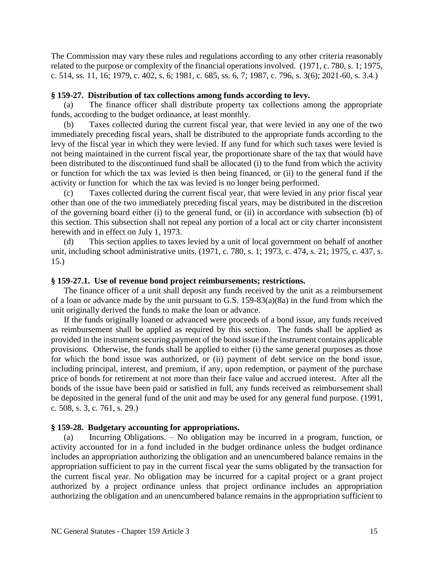The Commission may vary these rules and regulations according to any other criteria reasonably related to the purpose or complexity of the financial operations involved. (1971, c. 780, s. 1; 1975, c. 514, ss. 11, 16; 1979, c. 402, s. 6; 1981, c. 685, ss. 6, 7; 1987, c. 796, s. 3(6); 2021-60, s. 3.4.)

## **§ 159-27. Distribution of tax collections among funds according to levy.**

(a) The finance officer shall distribute property tax collections among the appropriate funds, according to the budget ordinance, at least monthly.

(b) Taxes collected during the current fiscal year, that were levied in any one of the two immediately preceding fiscal years, shall be distributed to the appropriate funds according to the levy of the fiscal year in which they were levied. If any fund for which such taxes were levied is not being maintained in the current fiscal year, the proportionate share of the tax that would have been distributed to the discontinued fund shall be allocated (i) to the fund from which the activity or function for which the tax was levied is then being financed, or (ii) to the general fund if the activity or function for which the tax was levied is no longer being performed.

(c) Taxes collected during the current fiscal year, that were levied in any prior fiscal year other than one of the two immediately preceding fiscal years, may be distributed in the discretion of the governing board either (i) to the general fund, or (ii) in accordance with subsection (b) of this section. This subsection shall not repeal any portion of a local act or city charter inconsistent herewith and in effect on July 1, 1973.

(d) This section applies to taxes levied by a unit of local government on behalf of another unit, including school administrative units. (1971, c. 780, s. 1; 1973, c. 474, s. 21; 1975, c. 437, s. 15.)

## **§ 159-27.1. Use of revenue bond project reimbursements; restrictions.**

The finance officer of a unit shall deposit any funds received by the unit as a reimbursement of a loan or advance made by the unit pursuant to G.S. 159-83(a)(8a) in the fund from which the unit originally derived the funds to make the loan or advance.

If the funds originally loaned or advanced were proceeds of a bond issue, any funds received as reimbursement shall be applied as required by this section. The funds shall be applied as provided in the instrument securing payment of the bond issue if the instrument contains applicable provisions. Otherwise, the funds shall be applied to either (i) the same general purposes as those for which the bond issue was authorized, or (ii) payment of debt service on the bond issue, including principal, interest, and premium, if any, upon redemption, or payment of the purchase price of bonds for retirement at not more than their face value and accrued interest. After all the bonds of the issue have been paid or satisfied in full, any funds received as reimbursement shall be deposited in the general fund of the unit and may be used for any general fund purpose. (1991, c. 508, s. 3, c. 761, s. 29.)

### **§ 159-28. Budgetary accounting for appropriations.**

(a) Incurring Obligations. – No obligation may be incurred in a program, function, or activity accounted for in a fund included in the budget ordinance unless the budget ordinance includes an appropriation authorizing the obligation and an unencumbered balance remains in the appropriation sufficient to pay in the current fiscal year the sums obligated by the transaction for the current fiscal year. No obligation may be incurred for a capital project or a grant project authorized by a project ordinance unless that project ordinance includes an appropriation authorizing the obligation and an unencumbered balance remains in the appropriation sufficient to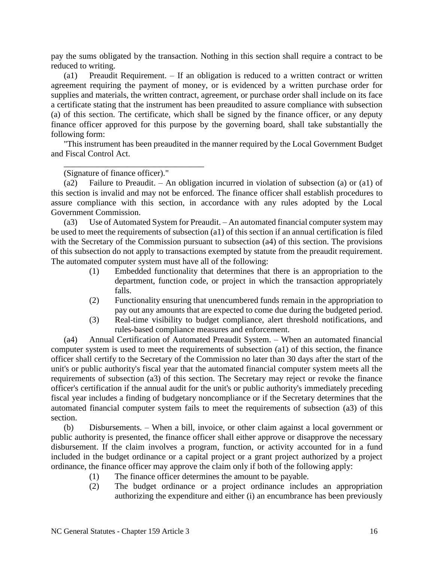pay the sums obligated by the transaction. Nothing in this section shall require a contract to be reduced to writing.

(a1) Preaudit Requirement. – If an obligation is reduced to a written contract or written agreement requiring the payment of money, or is evidenced by a written purchase order for supplies and materials, the written contract, agreement, or purchase order shall include on its face a certificate stating that the instrument has been preaudited to assure compliance with subsection (a) of this section. The certificate, which shall be signed by the finance officer, or any deputy finance officer approved for this purpose by the governing board, shall take substantially the following form:

"This instrument has been preaudited in the manner required by the Local Government Budget and Fiscal Control Act.

(Signature of finance officer)."

\_\_\_\_\_\_\_\_\_\_\_\_\_\_\_\_\_\_\_\_\_\_\_\_\_\_\_\_\_\_\_\_\_

(a2) Failure to Preaudit. – An obligation incurred in violation of subsection (a) or (a1) of this section is invalid and may not be enforced. The finance officer shall establish procedures to assure compliance with this section, in accordance with any rules adopted by the Local Government Commission.

(a3) Use of Automated System for Preaudit. – An automated financial computer system may be used to meet the requirements of subsection (a1) of this section if an annual certification is filed with the Secretary of the Commission pursuant to subsection (a4) of this section. The provisions of this subsection do not apply to transactions exempted by statute from the preaudit requirement. The automated computer system must have all of the following:

- (1) Embedded functionality that determines that there is an appropriation to the department, function code, or project in which the transaction appropriately falls.
- (2) Functionality ensuring that unencumbered funds remain in the appropriation to pay out any amounts that are expected to come due during the budgeted period.
- (3) Real-time visibility to budget compliance, alert threshold notifications, and rules-based compliance measures and enforcement.

(a4) Annual Certification of Automated Preaudit System. – When an automated financial computer system is used to meet the requirements of subsection (a1) of this section, the finance officer shall certify to the Secretary of the Commission no later than 30 days after the start of the unit's or public authority's fiscal year that the automated financial computer system meets all the requirements of subsection (a3) of this section. The Secretary may reject or revoke the finance officer's certification if the annual audit for the unit's or public authority's immediately preceding fiscal year includes a finding of budgetary noncompliance or if the Secretary determines that the automated financial computer system fails to meet the requirements of subsection (a3) of this section.

(b) Disbursements. – When a bill, invoice, or other claim against a local government or public authority is presented, the finance officer shall either approve or disapprove the necessary disbursement. If the claim involves a program, function, or activity accounted for in a fund included in the budget ordinance or a capital project or a grant project authorized by a project ordinance, the finance officer may approve the claim only if both of the following apply:

- (1) The finance officer determines the amount to be payable.
- (2) The budget ordinance or a project ordinance includes an appropriation authorizing the expenditure and either (i) an encumbrance has been previously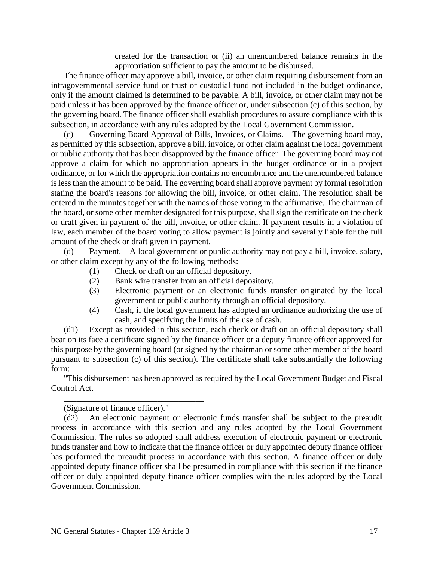created for the transaction or (ii) an unencumbered balance remains in the appropriation sufficient to pay the amount to be disbursed.

The finance officer may approve a bill, invoice, or other claim requiring disbursement from an intragovernmental service fund or trust or custodial fund not included in the budget ordinance, only if the amount claimed is determined to be payable. A bill, invoice, or other claim may not be paid unless it has been approved by the finance officer or, under subsection (c) of this section, by the governing board. The finance officer shall establish procedures to assure compliance with this subsection, in accordance with any rules adopted by the Local Government Commission.

(c) Governing Board Approval of Bills, Invoices, or Claims. – The governing board may, as permitted by this subsection, approve a bill, invoice, or other claim against the local government or public authority that has been disapproved by the finance officer. The governing board may not approve a claim for which no appropriation appears in the budget ordinance or in a project ordinance, or for which the appropriation contains no encumbrance and the unencumbered balance is less than the amount to be paid. The governing board shall approve payment by formal resolution stating the board's reasons for allowing the bill, invoice, or other claim. The resolution shall be entered in the minutes together with the names of those voting in the affirmative. The chairman of the board, or some other member designated for this purpose, shall sign the certificate on the check or draft given in payment of the bill, invoice, or other claim. If payment results in a violation of law, each member of the board voting to allow payment is jointly and severally liable for the full amount of the check or draft given in payment.

(d) Payment. – A local government or public authority may not pay a bill, invoice, salary, or other claim except by any of the following methods:

- (1) Check or draft on an official depository.
- (2) Bank wire transfer from an official depository.
- (3) Electronic payment or an electronic funds transfer originated by the local government or public authority through an official depository.
- (4) Cash, if the local government has adopted an ordinance authorizing the use of cash, and specifying the limits of the use of cash.

(d1) Except as provided in this section, each check or draft on an official depository shall bear on its face a certificate signed by the finance officer or a deputy finance officer approved for this purpose by the governing board (or signed by the chairman or some other member of the board pursuant to subsection (c) of this section). The certificate shall take substantially the following form:

"This disbursement has been approved as required by the Local Government Budget and Fiscal Control Act.

### (Signature of finance officer)."

\_\_\_\_\_\_\_\_\_\_\_\_\_\_\_\_\_\_\_\_\_\_\_\_\_\_\_\_\_\_\_\_\_

(d2) An electronic payment or electronic funds transfer shall be subject to the preaudit process in accordance with this section and any rules adopted by the Local Government Commission. The rules so adopted shall address execution of electronic payment or electronic funds transfer and how to indicate that the finance officer or duly appointed deputy finance officer has performed the preaudit process in accordance with this section. A finance officer or duly appointed deputy finance officer shall be presumed in compliance with this section if the finance officer or duly appointed deputy finance officer complies with the rules adopted by the Local Government Commission.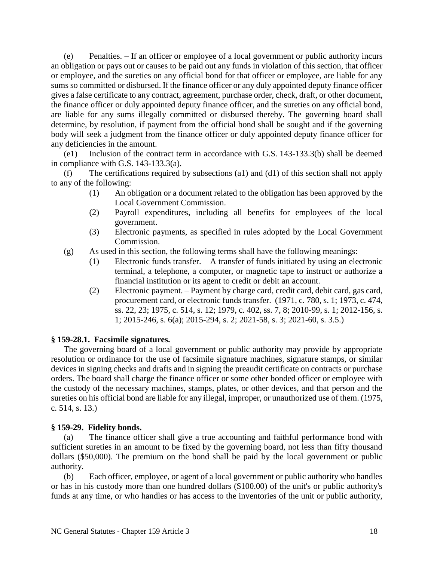(e) Penalties. – If an officer or employee of a local government or public authority incurs an obligation or pays out or causes to be paid out any funds in violation of this section, that officer or employee, and the sureties on any official bond for that officer or employee, are liable for any sums so committed or disbursed. If the finance officer or any duly appointed deputy finance officer gives a false certificate to any contract, agreement, purchase order, check, draft, or other document, the finance officer or duly appointed deputy finance officer, and the sureties on any official bond, are liable for any sums illegally committed or disbursed thereby. The governing board shall determine, by resolution, if payment from the official bond shall be sought and if the governing body will seek a judgment from the finance officer or duly appointed deputy finance officer for any deficiencies in the amount.

(e1) Inclusion of the contract term in accordance with G.S. 143-133.3(b) shall be deemed in compliance with G.S. 143-133.3(a).

(f) The certifications required by subsections (a1) and (d1) of this section shall not apply to any of the following:

- (1) An obligation or a document related to the obligation has been approved by the Local Government Commission.
- (2) Payroll expenditures, including all benefits for employees of the local government.
- (3) Electronic payments, as specified in rules adopted by the Local Government Commission.
- (g) As used in this section, the following terms shall have the following meanings:
	- (1) Electronic funds transfer. A transfer of funds initiated by using an electronic terminal, a telephone, a computer, or magnetic tape to instruct or authorize a financial institution or its agent to credit or debit an account.
	- (2) Electronic payment. Payment by charge card, credit card, debit card, gas card, procurement card, or electronic funds transfer. (1971, c. 780, s. 1; 1973, c. 474, ss. 22, 23; 1975, c. 514, s. 12; 1979, c. 402, ss. 7, 8; 2010-99, s. 1; 2012-156, s. 1; 2015-246, s. 6(a); 2015-294, s. 2; 2021-58, s. 3; 2021-60, s. 3.5.)

# **§ 159-28.1. Facsimile signatures.**

The governing board of a local government or public authority may provide by appropriate resolution or ordinance for the use of facsimile signature machines, signature stamps, or similar devices in signing checks and drafts and in signing the preaudit certificate on contracts or purchase orders. The board shall charge the finance officer or some other bonded officer or employee with the custody of the necessary machines, stamps, plates, or other devices, and that person and the sureties on his official bond are liable for any illegal, improper, or unauthorized use of them. (1975, c. 514, s. 13.)

# **§ 159-29. Fidelity bonds.**

(a) The finance officer shall give a true accounting and faithful performance bond with sufficient sureties in an amount to be fixed by the governing board, not less than fifty thousand dollars (\$50,000). The premium on the bond shall be paid by the local government or public authority.

(b) Each officer, employee, or agent of a local government or public authority who handles or has in his custody more than one hundred dollars (\$100.00) of the unit's or public authority's funds at any time, or who handles or has access to the inventories of the unit or public authority,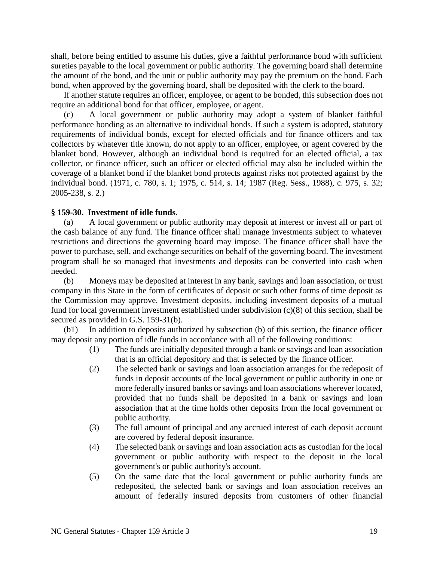shall, before being entitled to assume his duties, give a faithful performance bond with sufficient sureties payable to the local government or public authority. The governing board shall determine the amount of the bond, and the unit or public authority may pay the premium on the bond. Each bond, when approved by the governing board, shall be deposited with the clerk to the board.

If another statute requires an officer, employee, or agent to be bonded, this subsection does not require an additional bond for that officer, employee, or agent.

(c) A local government or public authority may adopt a system of blanket faithful performance bonding as an alternative to individual bonds. If such a system is adopted, statutory requirements of individual bonds, except for elected officials and for finance officers and tax collectors by whatever title known, do not apply to an officer, employee, or agent covered by the blanket bond. However, although an individual bond is required for an elected official, a tax collector, or finance officer, such an officer or elected official may also be included within the coverage of a blanket bond if the blanket bond protects against risks not protected against by the individual bond. (1971, c. 780, s. 1; 1975, c. 514, s. 14; 1987 (Reg. Sess., 1988), c. 975, s. 32; 2005-238, s. 2.)

### **§ 159-30. Investment of idle funds.**

(a) A local government or public authority may deposit at interest or invest all or part of the cash balance of any fund. The finance officer shall manage investments subject to whatever restrictions and directions the governing board may impose. The finance officer shall have the power to purchase, sell, and exchange securities on behalf of the governing board. The investment program shall be so managed that investments and deposits can be converted into cash when needed.

(b) Moneys may be deposited at interest in any bank, savings and loan association, or trust company in this State in the form of certificates of deposit or such other forms of time deposit as the Commission may approve. Investment deposits, including investment deposits of a mutual fund for local government investment established under subdivision (c)(8) of this section, shall be secured as provided in G.S. 159-31(b).

(b1) In addition to deposits authorized by subsection (b) of this section, the finance officer may deposit any portion of idle funds in accordance with all of the following conditions:

- (1) The funds are initially deposited through a bank or savings and loan association that is an official depository and that is selected by the finance officer.
- (2) The selected bank or savings and loan association arranges for the redeposit of funds in deposit accounts of the local government or public authority in one or more federally insured banks or savings and loan associations wherever located, provided that no funds shall be deposited in a bank or savings and loan association that at the time holds other deposits from the local government or public authority.
- (3) The full amount of principal and any accrued interest of each deposit account are covered by federal deposit insurance.
- (4) The selected bank or savings and loan association acts as custodian for the local government or public authority with respect to the deposit in the local government's or public authority's account.
- (5) On the same date that the local government or public authority funds are redeposited, the selected bank or savings and loan association receives an amount of federally insured deposits from customers of other financial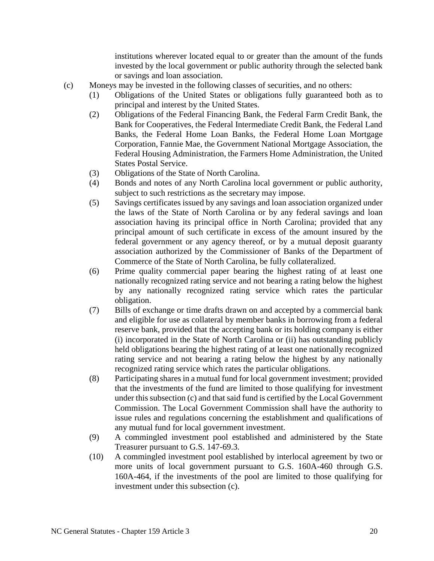institutions wherever located equal to or greater than the amount of the funds invested by the local government or public authority through the selected bank or savings and loan association.

- (c) Moneys may be invested in the following classes of securities, and no others:
	- (1) Obligations of the United States or obligations fully guaranteed both as to principal and interest by the United States.
	- (2) Obligations of the Federal Financing Bank, the Federal Farm Credit Bank, the Bank for Cooperatives, the Federal Intermediate Credit Bank, the Federal Land Banks, the Federal Home Loan Banks, the Federal Home Loan Mortgage Corporation, Fannie Mae, the Government National Mortgage Association, the Federal Housing Administration, the Farmers Home Administration, the United States Postal Service.
	- (3) Obligations of the State of North Carolina.
	- (4) Bonds and notes of any North Carolina local government or public authority, subject to such restrictions as the secretary may impose.
	- (5) Savings certificates issued by any savings and loan association organized under the laws of the State of North Carolina or by any federal savings and loan association having its principal office in North Carolina; provided that any principal amount of such certificate in excess of the amount insured by the federal government or any agency thereof, or by a mutual deposit guaranty association authorized by the Commissioner of Banks of the Department of Commerce of the State of North Carolina, be fully collateralized.
	- (6) Prime quality commercial paper bearing the highest rating of at least one nationally recognized rating service and not bearing a rating below the highest by any nationally recognized rating service which rates the particular obligation.
	- (7) Bills of exchange or time drafts drawn on and accepted by a commercial bank and eligible for use as collateral by member banks in borrowing from a federal reserve bank, provided that the accepting bank or its holding company is either (i) incorporated in the State of North Carolina or (ii) has outstanding publicly held obligations bearing the highest rating of at least one nationally recognized rating service and not bearing a rating below the highest by any nationally recognized rating service which rates the particular obligations.
	- (8) Participating shares in a mutual fund for local government investment; provided that the investments of the fund are limited to those qualifying for investment under this subsection (c) and that said fund is certified by the Local Government Commission. The Local Government Commission shall have the authority to issue rules and regulations concerning the establishment and qualifications of any mutual fund for local government investment.
	- (9) A commingled investment pool established and administered by the State Treasurer pursuant to G.S. 147-69.3.
	- (10) A commingled investment pool established by interlocal agreement by two or more units of local government pursuant to G.S. 160A-460 through G.S. 160A-464, if the investments of the pool are limited to those qualifying for investment under this subsection (c).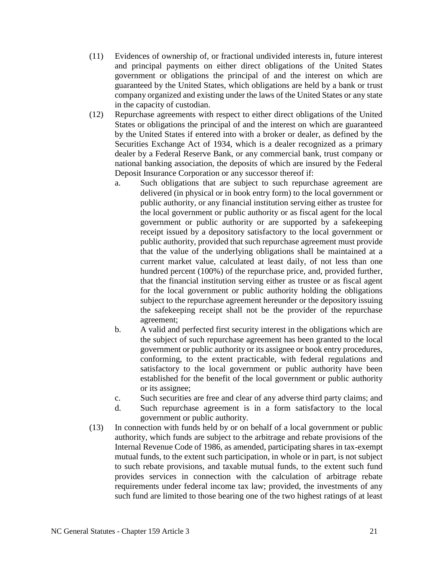- (11) Evidences of ownership of, or fractional undivided interests in, future interest and principal payments on either direct obligations of the United States government or obligations the principal of and the interest on which are guaranteed by the United States, which obligations are held by a bank or trust company organized and existing under the laws of the United States or any state in the capacity of custodian.
- (12) Repurchase agreements with respect to either direct obligations of the United States or obligations the principal of and the interest on which are guaranteed by the United States if entered into with a broker or dealer, as defined by the Securities Exchange Act of 1934, which is a dealer recognized as a primary dealer by a Federal Reserve Bank, or any commercial bank, trust company or national banking association, the deposits of which are insured by the Federal Deposit Insurance Corporation or any successor thereof if:
	- a. Such obligations that are subject to such repurchase agreement are delivered (in physical or in book entry form) to the local government or public authority, or any financial institution serving either as trustee for the local government or public authority or as fiscal agent for the local government or public authority or are supported by a safekeeping receipt issued by a depository satisfactory to the local government or public authority, provided that such repurchase agreement must provide that the value of the underlying obligations shall be maintained at a current market value, calculated at least daily, of not less than one hundred percent (100%) of the repurchase price, and, provided further, that the financial institution serving either as trustee or as fiscal agent for the local government or public authority holding the obligations subject to the repurchase agreement hereunder or the depository issuing the safekeeping receipt shall not be the provider of the repurchase agreement;
	- b. A valid and perfected first security interest in the obligations which are the subject of such repurchase agreement has been granted to the local government or public authority or its assignee or book entry procedures, conforming, to the extent practicable, with federal regulations and satisfactory to the local government or public authority have been established for the benefit of the local government or public authority or its assignee;
	- c. Such securities are free and clear of any adverse third party claims; and
	- d. Such repurchase agreement is in a form satisfactory to the local government or public authority.
- (13) In connection with funds held by or on behalf of a local government or public authority, which funds are subject to the arbitrage and rebate provisions of the Internal Revenue Code of 1986, as amended, participating shares in tax-exempt mutual funds, to the extent such participation, in whole or in part, is not subject to such rebate provisions, and taxable mutual funds, to the extent such fund provides services in connection with the calculation of arbitrage rebate requirements under federal income tax law; provided, the investments of any such fund are limited to those bearing one of the two highest ratings of at least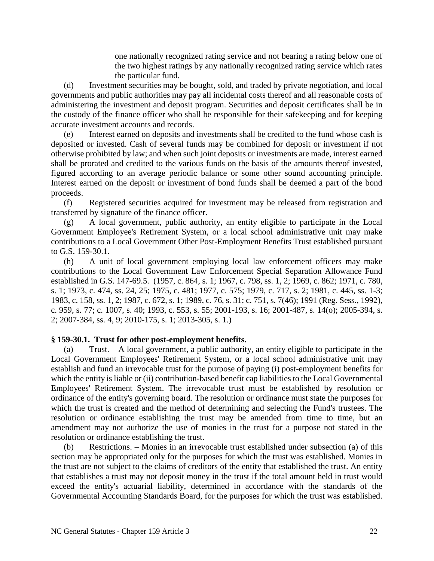one nationally recognized rating service and not bearing a rating below one of the two highest ratings by any nationally recognized rating service which rates the particular fund.

(d) Investment securities may be bought, sold, and traded by private negotiation, and local governments and public authorities may pay all incidental costs thereof and all reasonable costs of administering the investment and deposit program. Securities and deposit certificates shall be in the custody of the finance officer who shall be responsible for their safekeeping and for keeping accurate investment accounts and records.

(e) Interest earned on deposits and investments shall be credited to the fund whose cash is deposited or invested. Cash of several funds may be combined for deposit or investment if not otherwise prohibited by law; and when such joint deposits or investments are made, interest earned shall be prorated and credited to the various funds on the basis of the amounts thereof invested, figured according to an average periodic balance or some other sound accounting principle. Interest earned on the deposit or investment of bond funds shall be deemed a part of the bond proceeds.

(f) Registered securities acquired for investment may be released from registration and transferred by signature of the finance officer.

(g) A local government, public authority, an entity eligible to participate in the Local Government Employee's Retirement System, or a local school administrative unit may make contributions to a Local Government Other Post-Employment Benefits Trust established pursuant to G.S. 159-30.1.

(h) A unit of local government employing local law enforcement officers may make contributions to the Local Government Law Enforcement Special Separation Allowance Fund established in G.S. 147-69.5. (1957, c. 864, s. 1; 1967, c. 798, ss. 1, 2; 1969, c. 862; 1971, c. 780, s. 1; 1973, c. 474, ss. 24, 25; 1975, c. 481; 1977, c. 575; 1979, c. 717, s. 2; 1981, c. 445, ss. 1-3; 1983, c. 158, ss. 1, 2; 1987, c. 672, s. 1; 1989, c. 76, s. 31; c. 751, s. 7(46); 1991 (Reg. Sess., 1992), c. 959, s. 77; c. 1007, s. 40; 1993, c. 553, s. 55; 2001-193, s. 16; 2001-487, s. 14(o); 2005-394, s. 2; 2007-384, ss. 4, 9; 2010-175, s. 1; 2013-305, s. 1.)

### **§ 159-30.1. Trust for other post-employment benefits.**

(a) Trust. – A local government, a public authority, an entity eligible to participate in the Local Government Employees' Retirement System, or a local school administrative unit may establish and fund an irrevocable trust for the purpose of paying (i) post-employment benefits for which the entity is liable or (ii) contribution-based benefit cap liabilities to the Local Governmental Employees' Retirement System. The irrevocable trust must be established by resolution or ordinance of the entity's governing board. The resolution or ordinance must state the purposes for which the trust is created and the method of determining and selecting the Fund's trustees. The resolution or ordinance establishing the trust may be amended from time to time, but an amendment may not authorize the use of monies in the trust for a purpose not stated in the resolution or ordinance establishing the trust.

(b) Restrictions. – Monies in an irrevocable trust established under subsection (a) of this section may be appropriated only for the purposes for which the trust was established. Monies in the trust are not subject to the claims of creditors of the entity that established the trust. An entity that establishes a trust may not deposit money in the trust if the total amount held in trust would exceed the entity's actuarial liability, determined in accordance with the standards of the Governmental Accounting Standards Board, for the purposes for which the trust was established.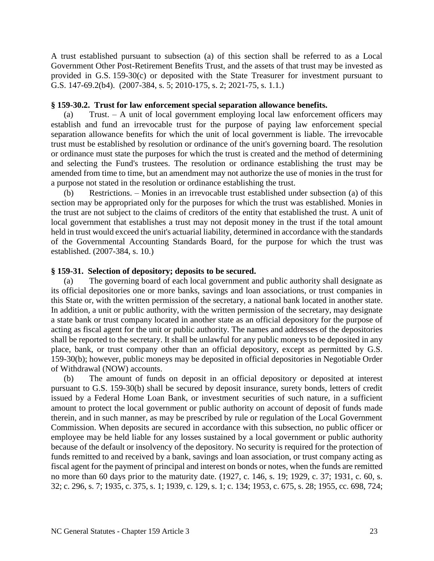A trust established pursuant to subsection (a) of this section shall be referred to as a Local Government Other Post-Retirement Benefits Trust, and the assets of that trust may be invested as provided in G.S. 159-30(c) or deposited with the State Treasurer for investment pursuant to G.S. 147-69.2(b4). (2007-384, s. 5; 2010-175, s. 2; 2021-75, s. 1.1.)

## **§ 159-30.2. Trust for law enforcement special separation allowance benefits.**

(a) Trust. – A unit of local government employing local law enforcement officers may establish and fund an irrevocable trust for the purpose of paying law enforcement special separation allowance benefits for which the unit of local government is liable. The irrevocable trust must be established by resolution or ordinance of the unit's governing board. The resolution or ordinance must state the purposes for which the trust is created and the method of determining and selecting the Fund's trustees. The resolution or ordinance establishing the trust may be amended from time to time, but an amendment may not authorize the use of monies in the trust for a purpose not stated in the resolution or ordinance establishing the trust.

(b) Restrictions. – Monies in an irrevocable trust established under subsection (a) of this section may be appropriated only for the purposes for which the trust was established. Monies in the trust are not subject to the claims of creditors of the entity that established the trust. A unit of local government that establishes a trust may not deposit money in the trust if the total amount held in trust would exceed the unit's actuarial liability, determined in accordance with the standards of the Governmental Accounting Standards Board, for the purpose for which the trust was established. (2007-384, s. 10.)

# **§ 159-31. Selection of depository; deposits to be secured.**

(a) The governing board of each local government and public authority shall designate as its official depositories one or more banks, savings and loan associations, or trust companies in this State or, with the written permission of the secretary, a national bank located in another state. In addition, a unit or public authority, with the written permission of the secretary, may designate a state bank or trust company located in another state as an official depository for the purpose of acting as fiscal agent for the unit or public authority. The names and addresses of the depositories shall be reported to the secretary. It shall be unlawful for any public moneys to be deposited in any place, bank, or trust company other than an official depository, except as permitted by G.S. 159-30(b); however, public moneys may be deposited in official depositories in Negotiable Order of Withdrawal (NOW) accounts.

(b) The amount of funds on deposit in an official depository or deposited at interest pursuant to G.S. 159-30(b) shall be secured by deposit insurance, surety bonds, letters of credit issued by a Federal Home Loan Bank, or investment securities of such nature, in a sufficient amount to protect the local government or public authority on account of deposit of funds made therein, and in such manner, as may be prescribed by rule or regulation of the Local Government Commission. When deposits are secured in accordance with this subsection, no public officer or employee may be held liable for any losses sustained by a local government or public authority because of the default or insolvency of the depository. No security is required for the protection of funds remitted to and received by a bank, savings and loan association, or trust company acting as fiscal agent for the payment of principal and interest on bonds or notes, when the funds are remitted no more than 60 days prior to the maturity date. (1927, c. 146, s. 19; 1929, c. 37; 1931, c. 60, s. 32; c. 296, s. 7; 1935, c. 375, s. 1; 1939, c. 129, s. 1; c. 134; 1953, c. 675, s. 28; 1955, cc. 698, 724;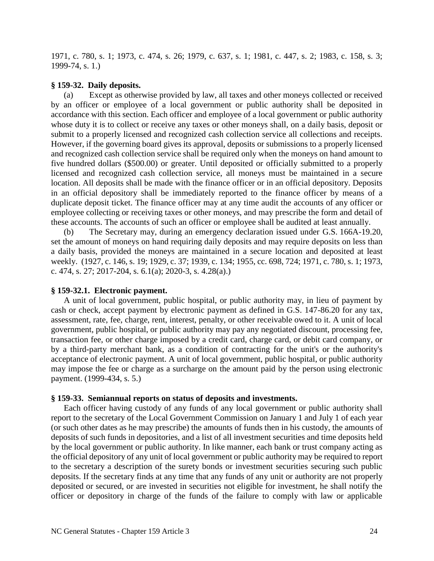1971, c. 780, s. 1; 1973, c. 474, s. 26; 1979, c. 637, s. 1; 1981, c. 447, s. 2; 1983, c. 158, s. 3; 1999-74, s. 1.)

#### **§ 159-32. Daily deposits.**

(a) Except as otherwise provided by law, all taxes and other moneys collected or received by an officer or employee of a local government or public authority shall be deposited in accordance with this section. Each officer and employee of a local government or public authority whose duty it is to collect or receive any taxes or other moneys shall, on a daily basis, deposit or submit to a properly licensed and recognized cash collection service all collections and receipts. However, if the governing board gives its approval, deposits or submissions to a properly licensed and recognized cash collection service shall be required only when the moneys on hand amount to five hundred dollars (\$500.00) or greater. Until deposited or officially submitted to a properly licensed and recognized cash collection service, all moneys must be maintained in a secure location. All deposits shall be made with the finance officer or in an official depository. Deposits in an official depository shall be immediately reported to the finance officer by means of a duplicate deposit ticket. The finance officer may at any time audit the accounts of any officer or employee collecting or receiving taxes or other moneys, and may prescribe the form and detail of these accounts. The accounts of such an officer or employee shall be audited at least annually.

(b) The Secretary may, during an emergency declaration issued under G.S. 166A-19.20, set the amount of moneys on hand requiring daily deposits and may require deposits on less than a daily basis, provided the moneys are maintained in a secure location and deposited at least weekly. (1927, c. 146, s. 19; 1929, c. 37; 1939, c. 134; 1955, cc. 698, 724; 1971, c. 780, s. 1; 1973, c. 474, s. 27; 2017-204, s. 6.1(a); 2020-3, s. 4.28(a).)

#### **§ 159-32.1. Electronic payment.**

A unit of local government, public hospital, or public authority may, in lieu of payment by cash or check, accept payment by electronic payment as defined in G.S. 147-86.20 for any tax, assessment, rate, fee, charge, rent, interest, penalty, or other receivable owed to it. A unit of local government, public hospital, or public authority may pay any negotiated discount, processing fee, transaction fee, or other charge imposed by a credit card, charge card, or debit card company, or by a third-party merchant bank, as a condition of contracting for the unit's or the authority's acceptance of electronic payment. A unit of local government, public hospital, or public authority may impose the fee or charge as a surcharge on the amount paid by the person using electronic payment. (1999-434, s. 5.)

#### **§ 159-33. Semiannual reports on status of deposits and investments.**

Each officer having custody of any funds of any local government or public authority shall report to the secretary of the Local Government Commission on January 1 and July 1 of each year (or such other dates as he may prescribe) the amounts of funds then in his custody, the amounts of deposits of such funds in depositories, and a list of all investment securities and time deposits held by the local government or public authority. In like manner, each bank or trust company acting as the official depository of any unit of local government or public authority may be required to report to the secretary a description of the surety bonds or investment securities securing such public deposits. If the secretary finds at any time that any funds of any unit or authority are not properly deposited or secured, or are invested in securities not eligible for investment, he shall notify the officer or depository in charge of the funds of the failure to comply with law or applicable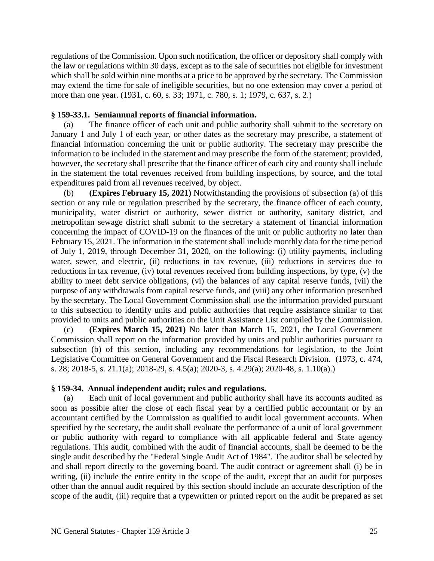regulations of the Commission. Upon such notification, the officer or depository shall comply with the law or regulations within 30 days, except as to the sale of securities not eligible for investment which shall be sold within nine months at a price to be approved by the secretary. The Commission may extend the time for sale of ineligible securities, but no one extension may cover a period of more than one year. (1931, c. 60, s. 33; 1971, c. 780, s. 1; 1979, c. 637, s. 2.)

### **§ 159-33.1. Semiannual reports of financial information.**

(a) The finance officer of each unit and public authority shall submit to the secretary on January 1 and July 1 of each year, or other dates as the secretary may prescribe, a statement of financial information concerning the unit or public authority. The secretary may prescribe the information to be included in the statement and may prescribe the form of the statement; provided, however, the secretary shall prescribe that the finance officer of each city and county shall include in the statement the total revenues received from building inspections, by source, and the total expenditures paid from all revenues received, by object.

(b) **(Expires February 15, 2021)** Notwithstanding the provisions of subsection (a) of this section or any rule or regulation prescribed by the secretary, the finance officer of each county, municipality, water district or authority, sewer district or authority, sanitary district, and metropolitan sewage district shall submit to the secretary a statement of financial information concerning the impact of COVID-19 on the finances of the unit or public authority no later than February 15, 2021. The information in the statement shall include monthly data for the time period of July 1, 2019, through December 31, 2020, on the following: (i) utility payments, including water, sewer, and electric, (ii) reductions in tax revenue, (iii) reductions in services due to reductions in tax revenue, (iv) total revenues received from building inspections, by type, (v) the ability to meet debt service obligations, (vi) the balances of any capital reserve funds, (vii) the purpose of any withdrawals from capital reserve funds, and (viii) any other information prescribed by the secretary. The Local Government Commission shall use the information provided pursuant to this subsection to identify units and public authorities that require assistance similar to that provided to units and public authorities on the Unit Assistance List compiled by the Commission.

(c) **(Expires March 15, 2021)** No later than March 15, 2021, the Local Government Commission shall report on the information provided by units and public authorities pursuant to subsection (b) of this section, including any recommendations for legislation, to the Joint Legislative Committee on General Government and the Fiscal Research Division. (1973, c. 474, s. 28; 2018-5, s. 21.1(a); 2018-29, s. 4.5(a); 2020-3, s. 4.29(a); 2020-48, s. 1.10(a).)

### **§ 159-34. Annual independent audit; rules and regulations.**

(a) Each unit of local government and public authority shall have its accounts audited as soon as possible after the close of each fiscal year by a certified public accountant or by an accountant certified by the Commission as qualified to audit local government accounts. When specified by the secretary, the audit shall evaluate the performance of a unit of local government or public authority with regard to compliance with all applicable federal and State agency regulations. This audit, combined with the audit of financial accounts, shall be deemed to be the single audit described by the "Federal Single Audit Act of 1984". The auditor shall be selected by and shall report directly to the governing board. The audit contract or agreement shall (i) be in writing, (ii) include the entire entity in the scope of the audit, except that an audit for purposes other than the annual audit required by this section should include an accurate description of the scope of the audit, (iii) require that a typewritten or printed report on the audit be prepared as set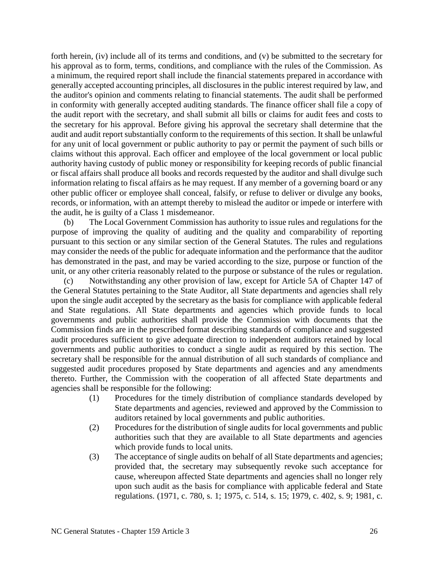forth herein, (iv) include all of its terms and conditions, and (v) be submitted to the secretary for his approval as to form, terms, conditions, and compliance with the rules of the Commission. As a minimum, the required report shall include the financial statements prepared in accordance with generally accepted accounting principles, all disclosures in the public interest required by law, and the auditor's opinion and comments relating to financial statements. The audit shall be performed in conformity with generally accepted auditing standards. The finance officer shall file a copy of the audit report with the secretary, and shall submit all bills or claims for audit fees and costs to the secretary for his approval. Before giving his approval the secretary shall determine that the audit and audit report substantially conform to the requirements of this section. It shall be unlawful for any unit of local government or public authority to pay or permit the payment of such bills or claims without this approval. Each officer and employee of the local government or local public authority having custody of public money or responsibility for keeping records of public financial or fiscal affairs shall produce all books and records requested by the auditor and shall divulge such information relating to fiscal affairs as he may request. If any member of a governing board or any other public officer or employee shall conceal, falsify, or refuse to deliver or divulge any books, records, or information, with an attempt thereby to mislead the auditor or impede or interfere with the audit, he is guilty of a Class 1 misdemeanor.

(b) The Local Government Commission has authority to issue rules and regulations for the purpose of improving the quality of auditing and the quality and comparability of reporting pursuant to this section or any similar section of the General Statutes. The rules and regulations may consider the needs of the public for adequate information and the performance that the auditor has demonstrated in the past, and may be varied according to the size, purpose or function of the unit, or any other criteria reasonably related to the purpose or substance of the rules or regulation.

(c) Notwithstanding any other provision of law, except for Article 5A of Chapter 147 of the General Statutes pertaining to the State Auditor, all State departments and agencies shall rely upon the single audit accepted by the secretary as the basis for compliance with applicable federal and State regulations. All State departments and agencies which provide funds to local governments and public authorities shall provide the Commission with documents that the Commission finds are in the prescribed format describing standards of compliance and suggested audit procedures sufficient to give adequate direction to independent auditors retained by local governments and public authorities to conduct a single audit as required by this section. The secretary shall be responsible for the annual distribution of all such standards of compliance and suggested audit procedures proposed by State departments and agencies and any amendments thereto. Further, the Commission with the cooperation of all affected State departments and agencies shall be responsible for the following:

- (1) Procedures for the timely distribution of compliance standards developed by State departments and agencies, reviewed and approved by the Commission to auditors retained by local governments and public authorities.
- (2) Procedures for the distribution of single audits for local governments and public authorities such that they are available to all State departments and agencies which provide funds to local units.
- (3) The acceptance of single audits on behalf of all State departments and agencies; provided that, the secretary may subsequently revoke such acceptance for cause, whereupon affected State departments and agencies shall no longer rely upon such audit as the basis for compliance with applicable federal and State regulations. (1971, c. 780, s. 1; 1975, c. 514, s. 15; 1979, c. 402, s. 9; 1981, c.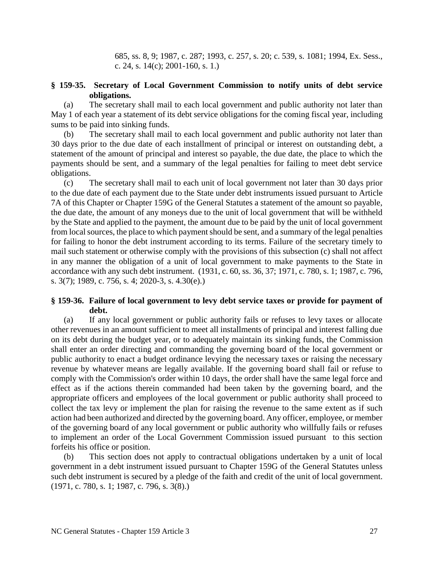685, ss. 8, 9; 1987, c. 287; 1993, c. 257, s. 20; c. 539, s. 1081; 1994, Ex. Sess., c. 24, s.  $14(c)$ ; 2001-160, s. 1.)

# **§ 159-35. Secretary of Local Government Commission to notify units of debt service obligations.**

(a) The secretary shall mail to each local government and public authority not later than May 1 of each year a statement of its debt service obligations for the coming fiscal year, including sums to be paid into sinking funds.

(b) The secretary shall mail to each local government and public authority not later than 30 days prior to the due date of each installment of principal or interest on outstanding debt, a statement of the amount of principal and interest so payable, the due date, the place to which the payments should be sent, and a summary of the legal penalties for failing to meet debt service obligations.

(c) The secretary shall mail to each unit of local government not later than 30 days prior to the due date of each payment due to the State under debt instruments issued pursuant to Article 7A of this Chapter or Chapter 159G of the General Statutes a statement of the amount so payable, the due date, the amount of any moneys due to the unit of local government that will be withheld by the State and applied to the payment, the amount due to be paid by the unit of local government from local sources, the place to which payment should be sent, and a summary of the legal penalties for failing to honor the debt instrument according to its terms. Failure of the secretary timely to mail such statement or otherwise comply with the provisions of this subsection (c) shall not affect in any manner the obligation of a unit of local government to make payments to the State in accordance with any such debt instrument. (1931, c. 60, ss. 36, 37; 1971, c. 780, s. 1; 1987, c. 796, s. 3(7); 1989, c. 756, s. 4; 2020-3, s. 4.30(e).)

# **§ 159-36. Failure of local government to levy debt service taxes or provide for payment of debt.**

(a) If any local government or public authority fails or refuses to levy taxes or allocate other revenues in an amount sufficient to meet all installments of principal and interest falling due on its debt during the budget year, or to adequately maintain its sinking funds, the Commission shall enter an order directing and commanding the governing board of the local government or public authority to enact a budget ordinance levying the necessary taxes or raising the necessary revenue by whatever means are legally available. If the governing board shall fail or refuse to comply with the Commission's order within 10 days, the order shall have the same legal force and effect as if the actions therein commanded had been taken by the governing board, and the appropriate officers and employees of the local government or public authority shall proceed to collect the tax levy or implement the plan for raising the revenue to the same extent as if such action had been authorized and directed by the governing board. Any officer, employee, or member of the governing board of any local government or public authority who willfully fails or refuses to implement an order of the Local Government Commission issued pursuant to this section forfeits his office or position.

(b) This section does not apply to contractual obligations undertaken by a unit of local government in a debt instrument issued pursuant to Chapter 159G of the General Statutes unless such debt instrument is secured by a pledge of the faith and credit of the unit of local government. (1971, c. 780, s. 1; 1987, c. 796, s. 3(8).)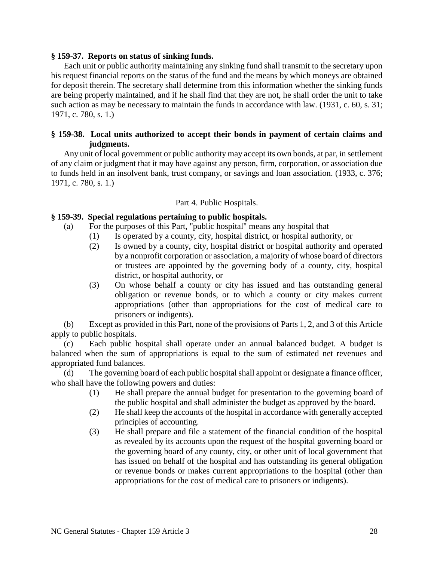### **§ 159-37. Reports on status of sinking funds.**

Each unit or public authority maintaining any sinking fund shall transmit to the secretary upon his request financial reports on the status of the fund and the means by which moneys are obtained for deposit therein. The secretary shall determine from this information whether the sinking funds are being properly maintained, and if he shall find that they are not, he shall order the unit to take such action as may be necessary to maintain the funds in accordance with law. (1931, c. 60, s. 31; 1971, c. 780, s. 1.)

# **§ 159-38. Local units authorized to accept their bonds in payment of certain claims and judgments.**

Any unit of local government or public authority may accept its own bonds, at par, in settlement of any claim or judgment that it may have against any person, firm, corporation, or association due to funds held in an insolvent bank, trust company, or savings and loan association. (1933, c. 376; 1971, c. 780, s. 1.)

### Part 4. Public Hospitals.

### **§ 159-39. Special regulations pertaining to public hospitals.**

- (a) For the purposes of this Part, "public hospital" means any hospital that
	- (1) Is operated by a county, city, hospital district, or hospital authority, or
	- (2) Is owned by a county, city, hospital district or hospital authority and operated by a nonprofit corporation or association, a majority of whose board of directors or trustees are appointed by the governing body of a county, city, hospital district, or hospital authority, or
	- (3) On whose behalf a county or city has issued and has outstanding general obligation or revenue bonds, or to which a county or city makes current appropriations (other than appropriations for the cost of medical care to prisoners or indigents).

(b) Except as provided in this Part, none of the provisions of Parts 1, 2, and 3 of this Article apply to public hospitals.

(c) Each public hospital shall operate under an annual balanced budget. A budget is balanced when the sum of appropriations is equal to the sum of estimated net revenues and appropriated fund balances.

(d) The governing board of each public hospital shall appoint or designate a finance officer, who shall have the following powers and duties:

- (1) He shall prepare the annual budget for presentation to the governing board of the public hospital and shall administer the budget as approved by the board.
- (2) He shall keep the accounts of the hospital in accordance with generally accepted principles of accounting.
- (3) He shall prepare and file a statement of the financial condition of the hospital as revealed by its accounts upon the request of the hospital governing board or the governing board of any county, city, or other unit of local government that has issued on behalf of the hospital and has outstanding its general obligation or revenue bonds or makes current appropriations to the hospital (other than appropriations for the cost of medical care to prisoners or indigents).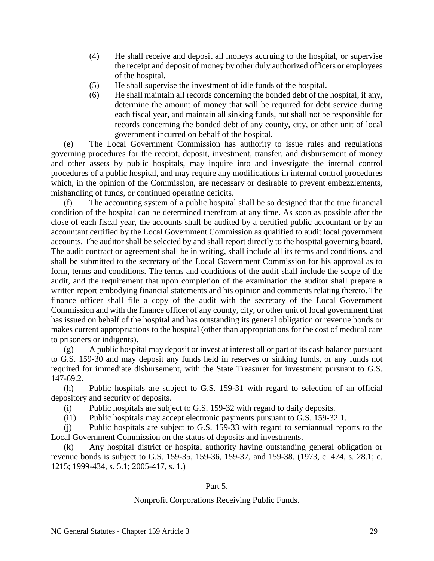- (4) He shall receive and deposit all moneys accruing to the hospital, or supervise the receipt and deposit of money by other duly authorized officers or employees of the hospital.
- (5) He shall supervise the investment of idle funds of the hospital.
- (6) He shall maintain all records concerning the bonded debt of the hospital, if any, determine the amount of money that will be required for debt service during each fiscal year, and maintain all sinking funds, but shall not be responsible for records concerning the bonded debt of any county, city, or other unit of local government incurred on behalf of the hospital.

(e) The Local Government Commission has authority to issue rules and regulations governing procedures for the receipt, deposit, investment, transfer, and disbursement of money and other assets by public hospitals, may inquire into and investigate the internal control procedures of a public hospital, and may require any modifications in internal control procedures which, in the opinion of the Commission, are necessary or desirable to prevent embezzlements, mishandling of funds, or continued operating deficits.

(f) The accounting system of a public hospital shall be so designed that the true financial condition of the hospital can be determined therefrom at any time. As soon as possible after the close of each fiscal year, the accounts shall be audited by a certified public accountant or by an accountant certified by the Local Government Commission as qualified to audit local government accounts. The auditor shall be selected by and shall report directly to the hospital governing board. The audit contract or agreement shall be in writing, shall include all its terms and conditions, and shall be submitted to the secretary of the Local Government Commission for his approval as to form, terms and conditions. The terms and conditions of the audit shall include the scope of the audit, and the requirement that upon completion of the examination the auditor shall prepare a written report embodying financial statements and his opinion and comments relating thereto. The finance officer shall file a copy of the audit with the secretary of the Local Government Commission and with the finance officer of any county, city, or other unit of local government that has issued on behalf of the hospital and has outstanding its general obligation or revenue bonds or makes current appropriations to the hospital (other than appropriations for the cost of medical care to prisoners or indigents).

(g) A public hospital may deposit or invest at interest all or part of its cash balance pursuant to G.S. 159-30 and may deposit any funds held in reserves or sinking funds, or any funds not required for immediate disbursement, with the State Treasurer for investment pursuant to G.S. 147-69.2.

(h) Public hospitals are subject to G.S. 159-31 with regard to selection of an official depository and security of deposits.

(i) Public hospitals are subject to G.S. 159-32 with regard to daily deposits.

(i1) Public hospitals may accept electronic payments pursuant to G.S. 159-32.1.

(j) Public hospitals are subject to G.S. 159-33 with regard to semiannual reports to the Local Government Commission on the status of deposits and investments.

(k) Any hospital district or hospital authority having outstanding general obligation or revenue bonds is subject to G.S. 159-35, 159-36, 159-37, and 159-38. (1973, c. 474, s. 28.1; c. 1215; 1999-434, s. 5.1; 2005-417, s. 1.)

### Part 5.

# Nonprofit Corporations Receiving Public Funds.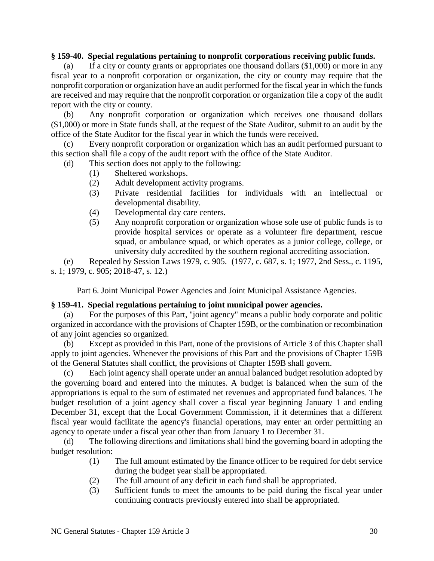### **§ 159-40. Special regulations pertaining to nonprofit corporations receiving public funds.**

(a) If a city or county grants or appropriates one thousand dollars (\$1,000) or more in any fiscal year to a nonprofit corporation or organization, the city or county may require that the nonprofit corporation or organization have an audit performed for the fiscal year in which the funds are received and may require that the nonprofit corporation or organization file a copy of the audit report with the city or county.

(b) Any nonprofit corporation or organization which receives one thousand dollars (\$1,000) or more in State funds shall, at the request of the State Auditor, submit to an audit by the office of the State Auditor for the fiscal year in which the funds were received.

(c) Every nonprofit corporation or organization which has an audit performed pursuant to this section shall file a copy of the audit report with the office of the State Auditor.

(d) This section does not apply to the following:

- (1) Sheltered workshops.
- (2) Adult development activity programs.
- (3) Private residential facilities for individuals with an intellectual or developmental disability.
- (4) Developmental day care centers.
- (5) Any nonprofit corporation or organization whose sole use of public funds is to provide hospital services or operate as a volunteer fire department, rescue squad, or ambulance squad, or which operates as a junior college, college, or university duly accredited by the southern regional accrediting association.

(e) Repealed by Session Laws 1979, c. 905. (1977, c. 687, s. 1; 1977, 2nd Sess., c. 1195, s. 1; 1979, c. 905; 2018-47, s. 12.)

Part 6. Joint Municipal Power Agencies and Joint Municipal Assistance Agencies.

### **§ 159-41. Special regulations pertaining to joint municipal power agencies.**

(a) For the purposes of this Part, "joint agency" means a public body corporate and politic organized in accordance with the provisions of Chapter 159B, or the combination or recombination of any joint agencies so organized.

(b) Except as provided in this Part, none of the provisions of Article 3 of this Chapter shall apply to joint agencies. Whenever the provisions of this Part and the provisions of Chapter 159B of the General Statutes shall conflict, the provisions of Chapter 159B shall govern.

(c) Each joint agency shall operate under an annual balanced budget resolution adopted by the governing board and entered into the minutes. A budget is balanced when the sum of the appropriations is equal to the sum of estimated net revenues and appropriated fund balances. The budget resolution of a joint agency shall cover a fiscal year beginning January 1 and ending December 31, except that the Local Government Commission, if it determines that a different fiscal year would facilitate the agency's financial operations, may enter an order permitting an agency to operate under a fiscal year other than from January 1 to December 31.

(d) The following directions and limitations shall bind the governing board in adopting the budget resolution:

- (1) The full amount estimated by the finance officer to be required for debt service during the budget year shall be appropriated.
- (2) The full amount of any deficit in each fund shall be appropriated.
- (3) Sufficient funds to meet the amounts to be paid during the fiscal year under continuing contracts previously entered into shall be appropriated.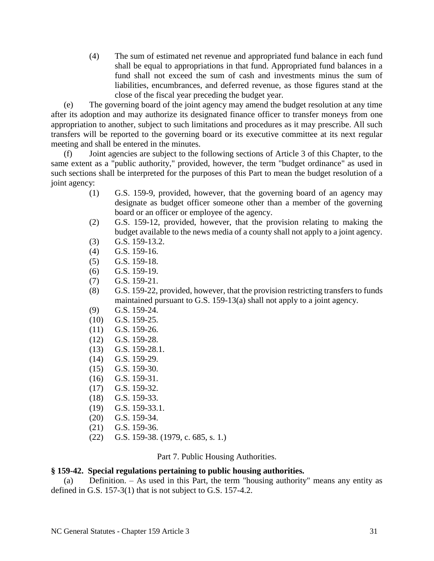(4) The sum of estimated net revenue and appropriated fund balance in each fund shall be equal to appropriations in that fund. Appropriated fund balances in a fund shall not exceed the sum of cash and investments minus the sum of liabilities, encumbrances, and deferred revenue, as those figures stand at the close of the fiscal year preceding the budget year.

(e) The governing board of the joint agency may amend the budget resolution at any time after its adoption and may authorize its designated finance officer to transfer moneys from one appropriation to another, subject to such limitations and procedures as it may prescribe. All such transfers will be reported to the governing board or its executive committee at its next regular meeting and shall be entered in the minutes.

(f) Joint agencies are subject to the following sections of Article 3 of this Chapter, to the same extent as a "public authority," provided, however, the term "budget ordinance" as used in such sections shall be interpreted for the purposes of this Part to mean the budget resolution of a joint agency:

- (1) G.S. 159-9, provided, however, that the governing board of an agency may designate as budget officer someone other than a member of the governing board or an officer or employee of the agency.
- (2) G.S. 159-12, provided, however, that the provision relating to making the budget available to the news media of a county shall not apply to a joint agency.
- (3) G.S. 159-13.2.
- (4) G.S. 159-16.
- (5) G.S. 159-18.
- (6) G.S. 159-19.
- (7) G.S. 159-21.
- (8) G.S. 159-22, provided, however, that the provision restricting transfers to funds maintained pursuant to G.S. 159-13(a) shall not apply to a joint agency.
- (9) G.S. 159-24.
- (10) G.S. 159-25.
- (11) G.S. 159-26.
- (12) G.S. 159-28.
- (13) G.S. 159-28.1.
- (14) G.S. 159-29.
- (15) G.S. 159-30.
- (16) G.S. 159-31.
- (17) G.S. 159-32.
- (18) G.S. 159-33.
- (19) G.S. 159-33.1.
- (20) G.S. 159-34.
- (21) G.S. 159-36.
- (22) G.S. 159-38. (1979, c. 685, s. 1.)

Part 7. Public Housing Authorities.

# **§ 159-42. Special regulations pertaining to public housing authorities.**

(a) Definition. – As used in this Part, the term "housing authority" means any entity as defined in G.S. 157-3(1) that is not subject to G.S. 157-4.2.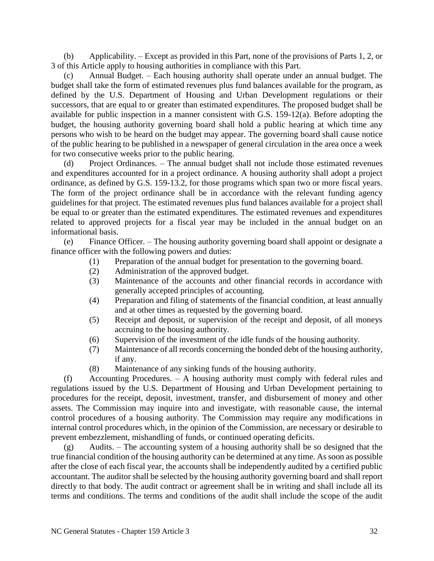(b) Applicability. – Except as provided in this Part, none of the provisions of Parts 1, 2, or 3 of this Article apply to housing authorities in compliance with this Part.

(c) Annual Budget. – Each housing authority shall operate under an annual budget. The budget shall take the form of estimated revenues plus fund balances available for the program, as defined by the U.S. Department of Housing and Urban Development regulations or their successors, that are equal to or greater than estimated expenditures. The proposed budget shall be available for public inspection in a manner consistent with G.S. 159-12(a). Before adopting the budget, the housing authority governing board shall hold a public hearing at which time any persons who wish to be heard on the budget may appear. The governing board shall cause notice of the public hearing to be published in a newspaper of general circulation in the area once a week for two consecutive weeks prior to the public hearing.

(d) Project Ordinances. – The annual budget shall not include those estimated revenues and expenditures accounted for in a project ordinance. A housing authority shall adopt a project ordinance, as defined by G.S. 159-13.2, for those programs which span two or more fiscal years. The form of the project ordinance shall be in accordance with the relevant funding agency guidelines for that project. The estimated revenues plus fund balances available for a project shall be equal to or greater than the estimated expenditures. The estimated revenues and expenditures related to approved projects for a fiscal year may be included in the annual budget on an informational basis.

(e) Finance Officer. – The housing authority governing board shall appoint or designate a finance officer with the following powers and duties:

- (1) Preparation of the annual budget for presentation to the governing board.
- (2) Administration of the approved budget.
- (3) Maintenance of the accounts and other financial records in accordance with generally accepted principles of accounting.
- (4) Preparation and filing of statements of the financial condition, at least annually and at other times as requested by the governing board.
- (5) Receipt and deposit, or supervision of the receipt and deposit, of all moneys accruing to the housing authority.
- (6) Supervision of the investment of the idle funds of the housing authority.
- (7) Maintenance of all records concerning the bonded debt of the housing authority, if any.
- (8) Maintenance of any sinking funds of the housing authority.

(f) Accounting Procedures. – A housing authority must comply with federal rules and regulations issued by the U.S. Department of Housing and Urban Development pertaining to procedures for the receipt, deposit, investment, transfer, and disbursement of money and other assets. The Commission may inquire into and investigate, with reasonable cause, the internal control procedures of a housing authority. The Commission may require any modifications in internal control procedures which, in the opinion of the Commission, are necessary or desirable to prevent embezzlement, mishandling of funds, or continued operating deficits.

(g) Audits. – The accounting system of a housing authority shall be so designed that the true financial condition of the housing authority can be determined at any time. As soon as possible after the close of each fiscal year, the accounts shall be independently audited by a certified public accountant. The auditor shall be selected by the housing authority governing board and shall report directly to that body. The audit contract or agreement shall be in writing and shall include all its terms and conditions. The terms and conditions of the audit shall include the scope of the audit